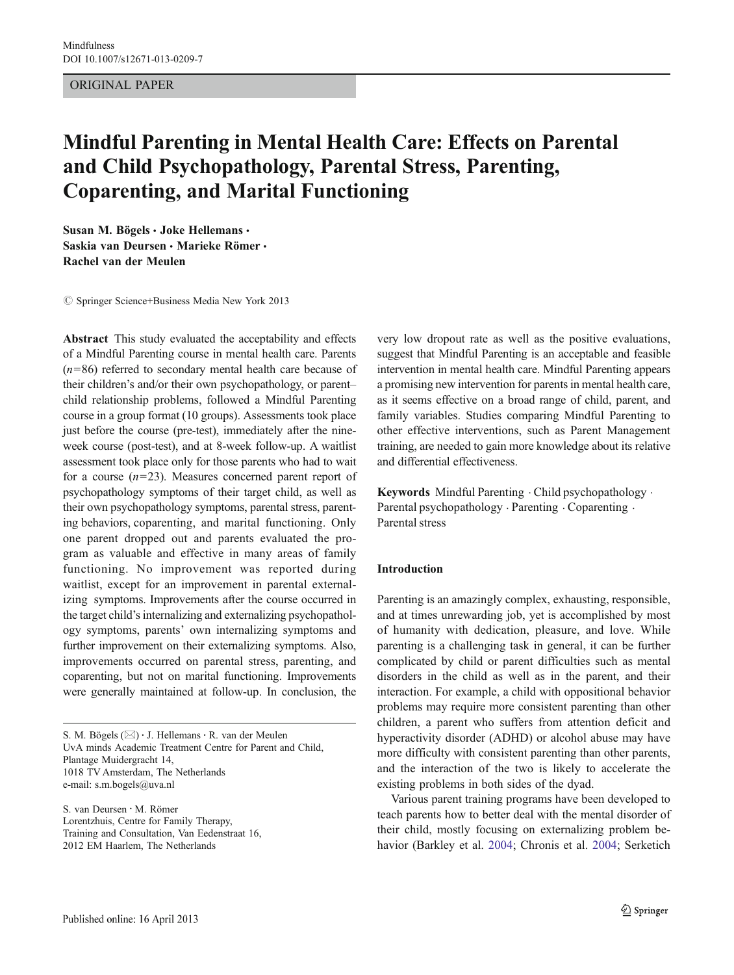# <span id="page-0-0"></span>ORIGINAL PAPER

# Mindful Parenting in Mental Health Care: Effects on Parental and Child Psychopathology, Parental Stress, Parenting, Coparenting, and Marital Functioning

Susan M. Bögels · Joke Hellemans · Saskia van Deursen • Marieke Römer • Rachel van der Meulen

 $\circledcirc$  Springer Science+Business Media New York 2013

Abstract This study evaluated the acceptability and effects of a Mindful Parenting course in mental health care. Parents  $(n=86)$  referred to secondary mental health care because of their children's and/or their own psychopathology, or parent– child relationship problems, followed a Mindful Parenting course in a group format (10 groups). Assessments took place just before the course (pre-test), immediately after the nineweek course (post-test), and at 8-week follow-up. A waitlist assessment took place only for those parents who had to wait for a course  $(n=23)$ . Measures concerned parent report of psychopathology symptoms of their target child, as well as their own psychopathology symptoms, parental stress, parenting behaviors, coparenting, and marital functioning. Only one parent dropped out and parents evaluated the program as valuable and effective in many areas of family functioning. No improvement was reported during waitlist, except for an improvement in parental externalizing symptoms. Improvements after the course occurred in the target child's internalizing and externalizing psychopathology symptoms, parents' own internalizing symptoms and further improvement on their externalizing symptoms. Also, improvements occurred on parental stress, parenting, and coparenting, but not on marital functioning. Improvements were generally maintained at follow-up. In conclusion, the

S. M. Bögels  $(\boxtimes) \cdot$  J. Hellemans  $\cdot$  R. van der Meulen UvA minds Academic Treatment Centre for Parent and Child, Plantage Muidergracht 14, 1018 TV Amsterdam, The Netherlands e-mail: s.m.bogels@uva.nl

S. van Deursen : M. Römer Lorentzhuis, Centre for Family Therapy, Training and Consultation, Van Eedenstraat 16, 2012 EM Haarlem, The Netherlands

very low dropout rate as well as the positive evaluations, suggest that Mindful Parenting is an acceptable and feasible intervention in mental health care. Mindful Parenting appears a promising new intervention for parents in mental health care, as it seems effective on a broad range of child, parent, and family variables. Studies comparing Mindful Parenting to other effective interventions, such as Parent Management training, are needed to gain more knowledge about its relative and differential effectiveness.

Keywords Mindful Parenting . Child psychopathology . Parental psychopathology  $\cdot$  Parenting  $\cdot$  Coparenting  $\cdot$ Parental stress

# Introduction

Parenting is an amazingly complex, exhausting, responsible, and at times unrewarding job, yet is accomplished by most of humanity with dedication, pleasure, and love. While parenting is a challenging task in general, it can be further complicated by child or parent difficulties such as mental disorders in the child as well as in the parent, and their interaction. For example, a child with oppositional behavior problems may require more consistent parenting than other children, a parent who suffers from attention deficit and hyperactivity disorder (ADHD) or alcohol abuse may have more difficulty with consistent parenting than other parents, and the interaction of the two is likely to accelerate the existing problems in both sides of the dyad.

Various parent training programs have been developed to teach parents how to better deal with the mental disorder of their child, mostly focusing on externalizing problem behavior (Barkley et al. [2004](#page-13-0); Chronis et al. [2004;](#page-13-0) Serketich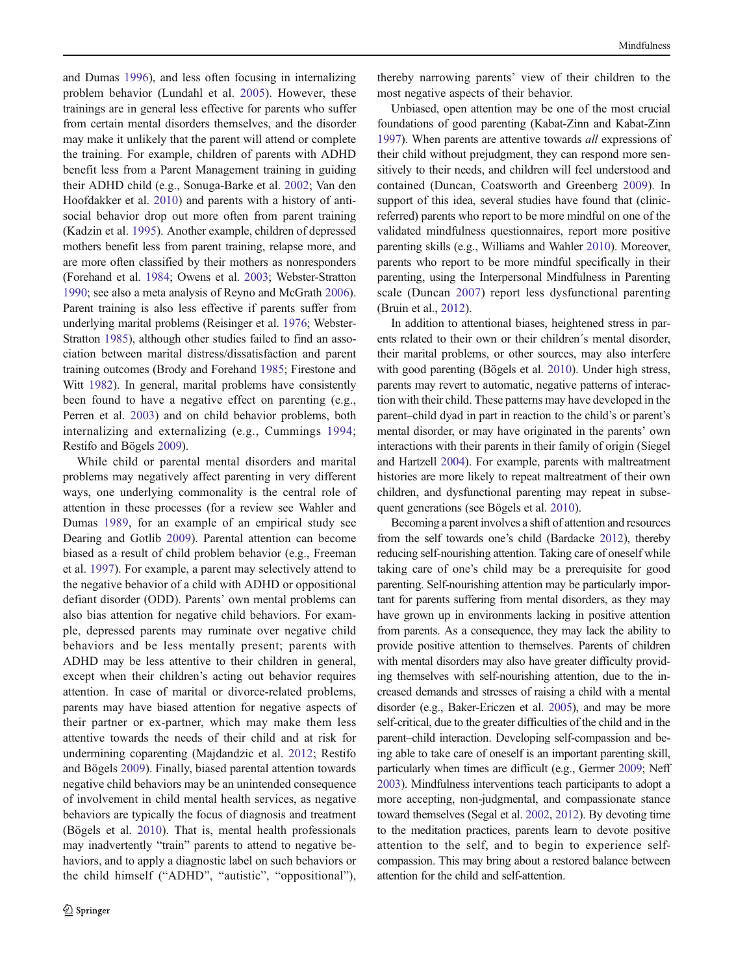and Dumas [1996\)](#page-14-0), and less often focusing in internalizing problem behavior (Lundahl et al. [2005](#page-14-0)). However, these trainings are in general less effective for parents who suffer from certain mental disorders themselves, and the disorder may make it unlikely that the parent will attend or complete the training. For example, children of parents with ADHD benefit less from a Parent Management training in guiding their ADHD child (e.g., Sonuga-Barke et al. [2002;](#page-14-0) Van den Hoofdakker et al. [2010\)](#page-14-0) and parents with a history of antisocial behavior drop out more often from parent training (Kadzin et al. [1995](#page-14-0)). Another example, children of depressed mothers benefit less from parent training, relapse more, and are more often classified by their mothers as nonresponders (Forehand et al. [1984;](#page-13-0) Owens et al. [2003;](#page-14-0) Webster-Stratton [1990;](#page-14-0) see also a meta analysis of Reyno and McGrath [2006\)](#page-14-0). Parent training is also less effective if parents suffer from underlying marital problems (Reisinger et al. [1976](#page-14-0); Webster-Stratton [1985](#page-14-0)), although other studies failed to find an association between marital distress/dissatisfaction and parent training outcomes (Brody and Forehand [1985;](#page-13-0) Firestone and Witt [1982\)](#page-13-0). In general, marital problems have consistently been found to have a negative effect on parenting (e.g., Perren et al. [2003\)](#page-14-0) and on child behavior problems, both internalizing and externalizing (e.g., Cummings [1994](#page-13-0); Restifo and Bögels [2009](#page-14-0)).

While child or parental mental disorders and marital problems may negatively affect parenting in very different ways, one underlying commonality is the central role of attention in these processes (for a review see Wahler and Dumas [1989](#page-14-0), for an example of an empirical study see Dearing and Gotlib [2009](#page-13-0)). Parental attention can become biased as a result of child problem behavior (e.g., Freeman et al. [1997\)](#page-13-0). For example, a parent may selectively attend to the negative behavior of a child with ADHD or oppositional defiant disorder (ODD). Parents' own mental problems can also bias attention for negative child behaviors. For example, depressed parents may ruminate over negative child behaviors and be less mentally present; parents with ADHD may be less attentive to their children in general, except when their children's acting out behavior requires attention. In case of marital or divorce-related problems, parents may have biased attention for negative aspects of their partner or ex-partner, which may make them less attentive towards the needs of their child and at risk for undermining coparenting (Majdandzic et al. [2012](#page-14-0); Restifo and Bögels [2009\)](#page-14-0). Finally, biased parental attention towards negative child behaviors may be an unintended consequence of involvement in child mental health services, as negative behaviors are typically the focus of diagnosis and treatment (Bögels et al. [2010](#page-13-0)). That is, mental health professionals may inadvertently "train" parents to attend to negative behaviors, and to apply a diagnostic label on such behaviors or the child himself ("ADHD", "autistic", "oppositional"),

thereby narrowing parents' view of their children to the most negative aspects of their behavior.

Unbiased, open attention may be one of the most crucial foundations of good parenting (Kabat-Zinn and Kabat-Zinn [1997\)](#page-14-0). When parents are attentive towards all expressions of their child without prejudgment, they can respond more sensitively to their needs, and children will feel understood and contained (Duncan, Coatsworth and Greenberg [2009\)](#page-13-0). In support of this idea, several studies have found that (clinicreferred) parents who report to be more mindful on one of the validated mindfulness questionnaires, report more positive parenting skills (e.g., Williams and Wahler [2010](#page-15-0)). Moreover, parents who report to be more mindful specifically in their parenting, using the Interpersonal Mindfulness in Parenting scale (Duncan [2007](#page-13-0)) report less dysfunctional parenting (Bruin et al., [2012\)](#page-13-0).

In addition to attentional biases, heightened stress in parents related to their own or their children´s mental disorder, their marital problems, or other sources, may also interfere with good parenting (Bögels et al. [2010](#page-13-0)). Under high stress, parents may revert to automatic, negative patterns of interaction with their child. These patterns may have developed in the parent–child dyad in part in reaction to the child's or parent's mental disorder, or may have originated in the parents' own interactions with their parents in their family of origin (Siegel and Hartzell [2004](#page-14-0)). For example, parents with maltreatment histories are more likely to repeat maltreatment of their own children, and dysfunctional parenting may repeat in subsequent generations (see Bögels et al. [2010](#page-13-0)).

Becoming a parent involves a shift of attention and resources from the self towards one's child (Bardacke [2012](#page-13-0)), thereby reducing self-nourishing attention. Taking care of oneself while taking care of one's child may be a prerequisite for good parenting. Self-nourishing attention may be particularly important for parents suffering from mental disorders, as they may have grown up in environments lacking in positive attention from parents. As a consequence, they may lack the ability to provide positive attention to themselves. Parents of children with mental disorders may also have greater difficulty providing themselves with self-nourishing attention, due to the increased demands and stresses of raising a child with a mental disorder (e.g., Baker-Ericzen et al. [2005](#page-13-0)), and may be more self-critical, due to the greater difficulties of the child and in the parent–child interaction. Developing self-compassion and being able to take care of oneself is an important parenting skill, particularly when times are difficult (e.g., Germer [2009](#page-13-0); Neff [2003](#page-14-0)). Mindfulness interventions teach participants to adopt a more accepting, non-judgmental, and compassionate stance toward themselves (Segal et al. [2002,](#page-14-0) [2012\)](#page-14-0). By devoting time to the meditation practices, parents learn to devote positive attention to the self, and to begin to experience selfcompassion. This may bring about a restored balance between attention for the child and self-attention.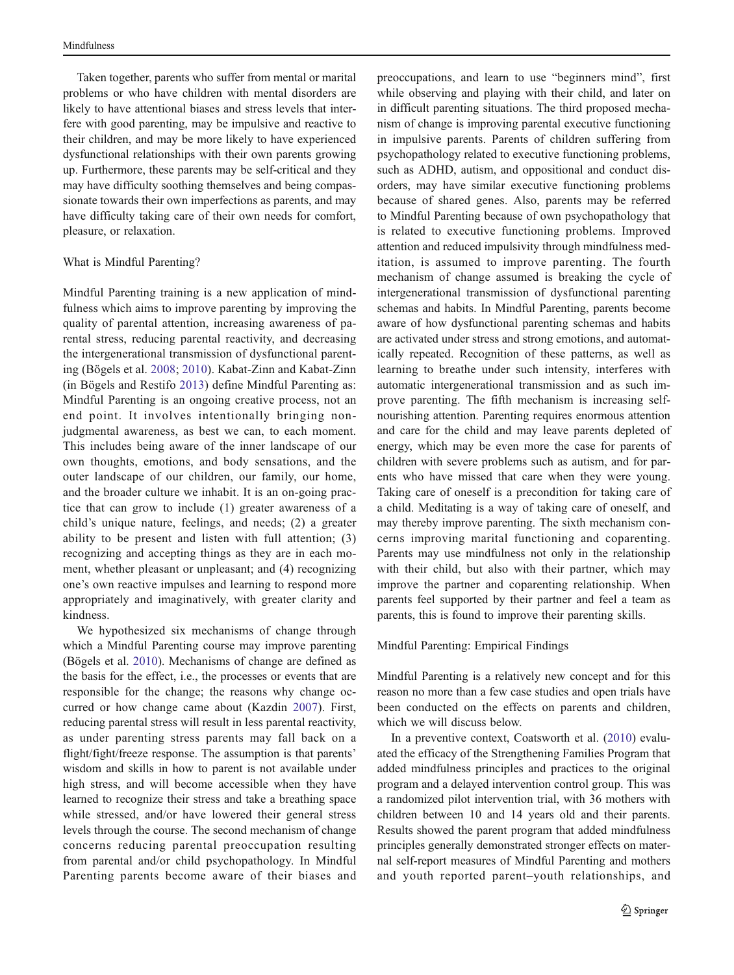Taken together, parents who suffer from mental or marital problems or who have children with mental disorders are likely to have attentional biases and stress levels that interfere with good parenting, may be impulsive and reactive to their children, and may be more likely to have experienced dysfunctional relationships with their own parents growing up. Furthermore, these parents may be self-critical and they may have difficulty soothing themselves and being compassionate towards their own imperfections as parents, and may have difficulty taking care of their own needs for comfort, pleasure, or relaxation.

### What is Mindful Parenting?

Mindful Parenting training is a new application of mindfulness which aims to improve parenting by improving the quality of parental attention, increasing awareness of parental stress, reducing parental reactivity, and decreasing the intergenerational transmission of dysfunctional parenting (Bögels et al. [2008;](#page-13-0) [2010](#page-13-0)). Kabat-Zinn and Kabat-Zinn (in Bögels and Restifo [2013](#page-13-0)) define Mindful Parenting as: Mindful Parenting is an ongoing creative process, not an end point. It involves intentionally bringing nonjudgmental awareness, as best we can, to each moment. This includes being aware of the inner landscape of our own thoughts, emotions, and body sensations, and the outer landscape of our children, our family, our home, and the broader culture we inhabit. It is an on-going practice that can grow to include (1) greater awareness of a child's unique nature, feelings, and needs; (2) a greater ability to be present and listen with full attention; (3) recognizing and accepting things as they are in each moment, whether pleasant or unpleasant; and (4) recognizing one's own reactive impulses and learning to respond more appropriately and imaginatively, with greater clarity and kindness.

We hypothesized six mechanisms of change through which a Mindful Parenting course may improve parenting (Bögels et al. [2010](#page-13-0)). Mechanisms of change are defined as the basis for the effect, i.e., the processes or events that are responsible for the change; the reasons why change occurred or how change came about (Kazdin [2007](#page-14-0)). First, reducing parental stress will result in less parental reactivity, as under parenting stress parents may fall back on a flight/fight/freeze response. The assumption is that parents' wisdom and skills in how to parent is not available under high stress, and will become accessible when they have learned to recognize their stress and take a breathing space while stressed, and/or have lowered their general stress levels through the course. The second mechanism of change concerns reducing parental preoccupation resulting from parental and/or child psychopathology. In Mindful Parenting parents become aware of their biases and

preoccupations, and learn to use "beginners mind", first while observing and playing with their child, and later on in difficult parenting situations. The third proposed mechanism of change is improving parental executive functioning in impulsive parents. Parents of children suffering from psychopathology related to executive functioning problems, such as ADHD, autism, and oppositional and conduct disorders, may have similar executive functioning problems because of shared genes. Also, parents may be referred to Mindful Parenting because of own psychopathology that is related to executive functioning problems. Improved attention and reduced impulsivity through mindfulness meditation, is assumed to improve parenting. The fourth mechanism of change assumed is breaking the cycle of intergenerational transmission of dysfunctional parenting schemas and habits. In Mindful Parenting, parents become aware of how dysfunctional parenting schemas and habits are activated under stress and strong emotions, and automatically repeated. Recognition of these patterns, as well as learning to breathe under such intensity, interferes with automatic intergenerational transmission and as such improve parenting. The fifth mechanism is increasing selfnourishing attention. Parenting requires enormous attention and care for the child and may leave parents depleted of energy, which may be even more the case for parents of children with severe problems such as autism, and for parents who have missed that care when they were young. Taking care of oneself is a precondition for taking care of a child. Meditating is a way of taking care of oneself, and may thereby improve parenting. The sixth mechanism concerns improving marital functioning and coparenting. Parents may use mindfulness not only in the relationship with their child, but also with their partner, which may improve the partner and coparenting relationship. When parents feel supported by their partner and feel a team as parents, this is found to improve their parenting skills.

# Mindful Parenting: Empirical Findings

Mindful Parenting is a relatively new concept and for this reason no more than a few case studies and open trials have been conducted on the effects on parents and children, which we will discuss below.

In a preventive context, Coatsworth et al. ([2010\)](#page-13-0) evaluated the efficacy of the Strengthening Families Program that added mindfulness principles and practices to the original program and a delayed intervention control group. This was a randomized pilot intervention trial, with 36 mothers with children between 10 and 14 years old and their parents. Results showed the parent program that added mindfulness principles generally demonstrated stronger effects on maternal self-report measures of Mindful Parenting and mothers and youth reported parent–youth relationships, and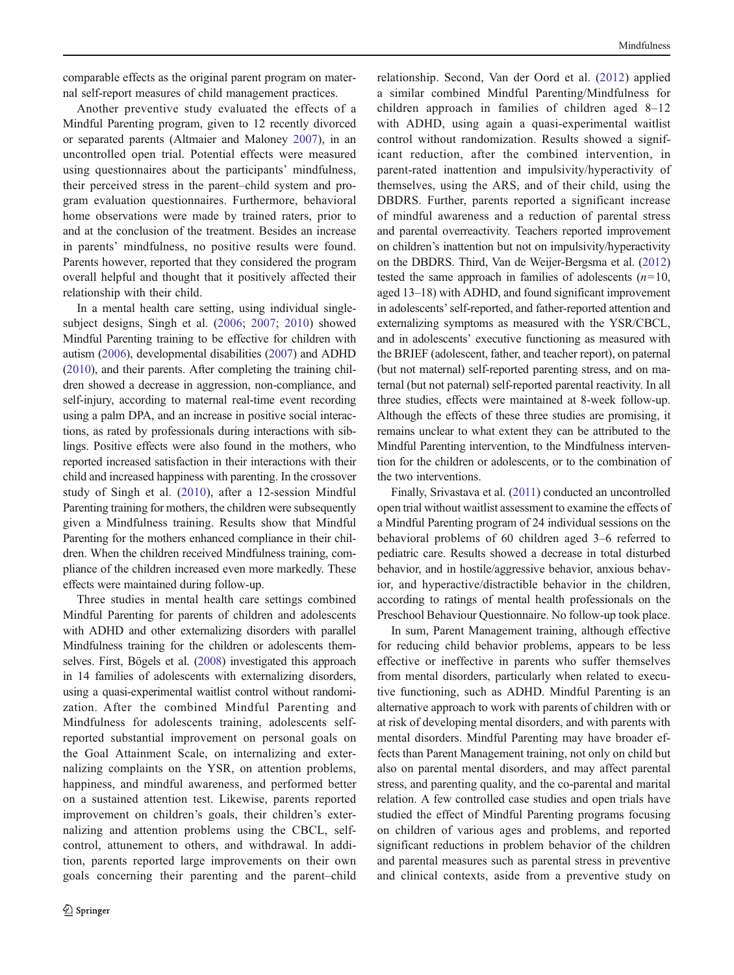comparable effects as the original parent program on maternal self-report measures of child management practices.

Another preventive study evaluated the effects of a Mindful Parenting program, given to 12 recently divorced or separated parents (Altmaier and Maloney [2007\)](#page-13-0), in an uncontrolled open trial. Potential effects were measured using questionnaires about the participants' mindfulness, their perceived stress in the parent–child system and program evaluation questionnaires. Furthermore, behavioral home observations were made by trained raters, prior to and at the conclusion of the treatment. Besides an increase in parents' mindfulness, no positive results were found. Parents however, reported that they considered the program overall helpful and thought that it positively affected their relationship with their child.

In a mental health care setting, using individual singlesubject designs, Singh et al. ([2006;](#page-14-0) [2007;](#page-14-0) [2010](#page-14-0)) showed Mindful Parenting training to be effective for children with autism ([2006](#page-14-0)), developmental disabilities [\(2007\)](#page-14-0) and ADHD [\(2010\)](#page-14-0), and their parents. After completing the training children showed a decrease in aggression, non-compliance, and self-injury, according to maternal real-time event recording using a palm DPA, and an increase in positive social interactions, as rated by professionals during interactions with siblings. Positive effects were also found in the mothers, who reported increased satisfaction in their interactions with their child and increased happiness with parenting. In the crossover study of Singh et al. [\(2010](#page-14-0)), after a 12-session Mindful Parenting training for mothers, the children were subsequently given a Mindfulness training. Results show that Mindful Parenting for the mothers enhanced compliance in their children. When the children received Mindfulness training, compliance of the children increased even more markedly. These effects were maintained during follow-up.

Three studies in mental health care settings combined Mindful Parenting for parents of children and adolescents with ADHD and other externalizing disorders with parallel Mindfulness training for the children or adolescents themselves. First, Bögels et al. ([2008\)](#page-13-0) investigated this approach in 14 families of adolescents with externalizing disorders, using a quasi-experimental waitlist control without randomization. After the combined Mindful Parenting and Mindfulness for adolescents training, adolescents selfreported substantial improvement on personal goals on the Goal Attainment Scale, on internalizing and externalizing complaints on the YSR, on attention problems, happiness, and mindful awareness, and performed better on a sustained attention test. Likewise, parents reported improvement on children's goals, their children's externalizing and attention problems using the CBCL, selfcontrol, attunement to others, and withdrawal. In addition, parents reported large improvements on their own goals concerning their parenting and the parent–child

relationship. Second, Van der Oord et al. ([2012](#page-14-0)) applied a similar combined Mindful Parenting/Mindfulness for children approach in families of children aged 8–12 with ADHD, using again a quasi-experimental waitlist control without randomization. Results showed a significant reduction, after the combined intervention, in parent-rated inattention and impulsivity/hyperactivity of themselves, using the ARS, and of their child, using the DBDRS. Further, parents reported a significant increase of mindful awareness and a reduction of parental stress and parental overreactivity. Teachers reported improvement on children's inattention but not on impulsivity/hyperactivity on the DBDRS. Third, Van de Weijer-Bergsma et al. [\(2012](#page-15-0)) tested the same approach in families of adolescents  $(n=10,$ aged 13–18) with ADHD, and found significant improvement in adolescents'self-reported, and father-reported attention and externalizing symptoms as measured with the YSR/CBCL, and in adolescents' executive functioning as measured with the BRIEF (adolescent, father, and teacher report), on paternal (but not maternal) self-reported parenting stress, and on maternal (but not paternal) self-reported parental reactivity. In all three studies, effects were maintained at 8-week follow-up. Although the effects of these three studies are promising, it remains unclear to what extent they can be attributed to the Mindful Parenting intervention, to the Mindfulness intervention for the children or adolescents, or to the combination of the two interventions.

Finally, Srivastava et al. [\(2011](#page-14-0)) conducted an uncontrolled open trial without waitlist assessment to examine the effects of a Mindful Parenting program of 24 individual sessions on the behavioral problems of 60 children aged 3–6 referred to pediatric care. Results showed a decrease in total disturbed behavior, and in hostile/aggressive behavior, anxious behavior, and hyperactive/distractible behavior in the children, according to ratings of mental health professionals on the Preschool Behaviour Questionnaire. No follow-up took place.

In sum, Parent Management training, although effective for reducing child behavior problems, appears to be less effective or ineffective in parents who suffer themselves from mental disorders, particularly when related to executive functioning, such as ADHD. Mindful Parenting is an alternative approach to work with parents of children with or at risk of developing mental disorders, and with parents with mental disorders. Mindful Parenting may have broader effects than Parent Management training, not only on child but also on parental mental disorders, and may affect parental stress, and parenting quality, and the co-parental and marital relation. A few controlled case studies and open trials have studied the effect of Mindful Parenting programs focusing on children of various ages and problems, and reported significant reductions in problem behavior of the children and parental measures such as parental stress in preventive and clinical contexts, aside from a preventive study on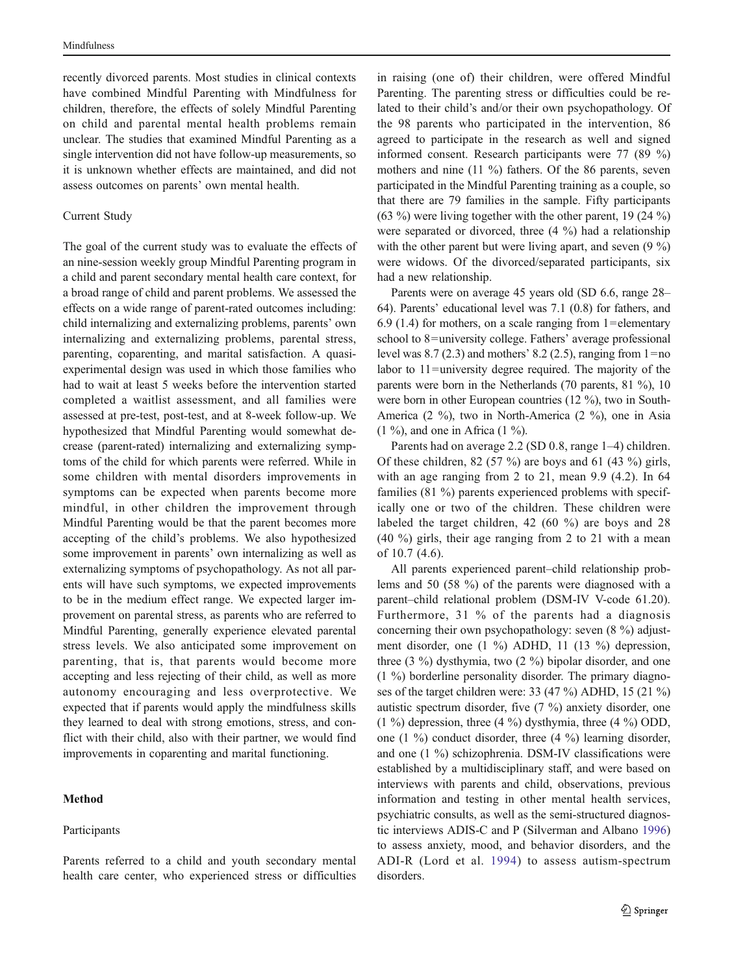recently divorced parents. Most studies in clinical contexts have combined Mindful Parenting with Mindfulness for children, therefore, the effects of solely Mindful Parenting on child and parental mental health problems remain unclear. The studies that examined Mindful Parenting as a single intervention did not have follow-up measurements, so it is unknown whether effects are maintained, and did not assess outcomes on parents' own mental health.

#### Current Study

The goal of the current study was to evaluate the effects of an nine-session weekly group Mindful Parenting program in a child and parent secondary mental health care context, for a broad range of child and parent problems. We assessed the effects on a wide range of parent-rated outcomes including: child internalizing and externalizing problems, parents' own internalizing and externalizing problems, parental stress, parenting, coparenting, and marital satisfaction. A quasiexperimental design was used in which those families who had to wait at least 5 weeks before the intervention started completed a waitlist assessment, and all families were assessed at pre-test, post-test, and at 8-week follow-up. We hypothesized that Mindful Parenting would somewhat decrease (parent-rated) internalizing and externalizing symptoms of the child for which parents were referred. While in some children with mental disorders improvements in symptoms can be expected when parents become more mindful, in other children the improvement through Mindful Parenting would be that the parent becomes more accepting of the child's problems. We also hypothesized some improvement in parents' own internalizing as well as externalizing symptoms of psychopathology. As not all parents will have such symptoms, we expected improvements to be in the medium effect range. We expected larger improvement on parental stress, as parents who are referred to Mindful Parenting, generally experience elevated parental stress levels. We also anticipated some improvement on parenting, that is, that parents would become more accepting and less rejecting of their child, as well as more autonomy encouraging and less overprotective. We expected that if parents would apply the mindfulness skills they learned to deal with strong emotions, stress, and conflict with their child, also with their partner, we would find improvements in coparenting and marital functioning.

# Method

#### Participants

Parents referred to a child and youth secondary mental health care center, who experienced stress or difficulties in raising (one of) their children, were offered Mindful Parenting. The parenting stress or difficulties could be related to their child's and/or their own psychopathology. Of the 98 parents who participated in the intervention, 86 agreed to participate in the research as well and signed informed consent. Research participants were 77 (89 %) mothers and nine (11 %) fathers. Of the 86 parents, seven participated in the Mindful Parenting training as a couple, so that there are 79 families in the sample. Fifty participants (63 %) were living together with the other parent, 19 (24 %) were separated or divorced, three (4 %) had a relationship with the other parent but were living apart, and seven (9 %) were widows. Of the divorced/separated participants, six had a new relationship.

Parents were on average 45 years old (SD 6.6, range 28– 64). Parents' educational level was 7.1 (0.8) for fathers, and 6.9 (1.4) for mothers, on a scale ranging from 1=elementary school to 8=university college. Fathers' average professional level was  $8.7$  (2.3) and mothers'  $8.2$  (2.5), ranging from  $1=$ no labor to 11=university degree required. The majority of the parents were born in the Netherlands (70 parents, 81 %), 10 were born in other European countries (12 %), two in South-America (2 %), two in North-America (2 %), one in Asia  $(1 \%)$ , and one in Africa  $(1 \%)$ .

Parents had on average 2.2 (SD 0.8, range 1–4) children. Of these children, 82 (57 %) are boys and 61 (43 %) girls, with an age ranging from 2 to 21, mean 9.9 (4.2). In 64 families (81 %) parents experienced problems with specifically one or two of the children. These children were labeled the target children, 42 (60 %) are boys and 28 (40 %) girls, their age ranging from 2 to 21 with a mean of 10.7 (4.6).

All parents experienced parent–child relationship problems and 50 (58 %) of the parents were diagnosed with a parent–child relational problem (DSM-IV V-code 61.20). Furthermore, 31 % of the parents had a diagnosis concerning their own psychopathology: seven (8 %) adjustment disorder, one (1 %) ADHD, 11 (13 %) depression, three (3 %) dysthymia, two (2 %) bipolar disorder, and one (1 %) borderline personality disorder. The primary diagnoses of the target children were: 33 (47 %) ADHD, 15 (21 %) autistic spectrum disorder, five (7 %) anxiety disorder, one (1 %) depression, three (4 %) dysthymia, three (4 %) ODD, one (1 %) conduct disorder, three (4 %) learning disorder, and one (1 %) schizophrenia. DSM-IV classifications were established by a multidisciplinary staff, and were based on interviews with parents and child, observations, previous information and testing in other mental health services, psychiatric consults, as well as the semi-structured diagnostic interviews ADIS-C and P (Silverman and Albano [1996](#page-14-0)) to assess anxiety, mood, and behavior disorders, and the ADI-R (Lord et al. [1994\)](#page-14-0) to assess autism-spectrum disorders.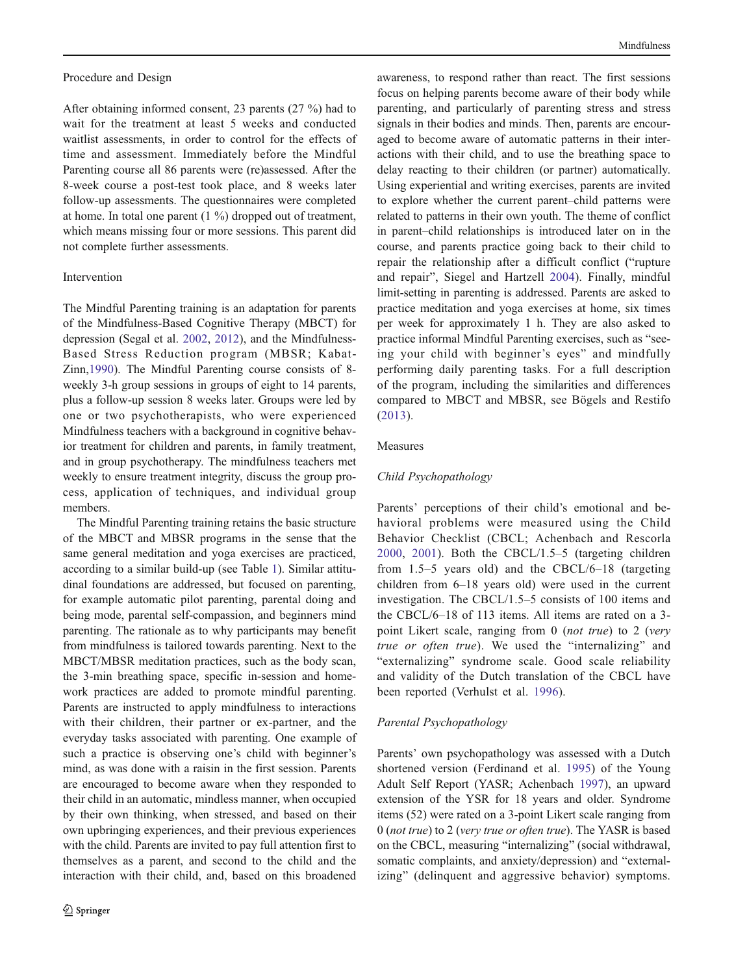# Procedure and Design

After obtaining informed consent, 23 parents (27 %) had to wait for the treatment at least 5 weeks and conducted waitlist assessments, in order to control for the effects of time and assessment. Immediately before the Mindful Parenting course all 86 parents were (re)assessed. After the 8-week course a post-test took place, and 8 weeks later follow-up assessments. The questionnaires were completed at home. In total one parent (1 %) dropped out of treatment, which means missing four or more sessions. This parent did not complete further assessments.

# Intervention

The Mindful Parenting training is an adaptation for parents of the Mindfulness-Based Cognitive Therapy (MBCT) for depression (Segal et al. [2002](#page-14-0), [2012](#page-14-0)), and the Mindfulness-Based Stress Reduction program (MBSR; Kabat-Zinn[,1990](#page-14-0)). The Mindful Parenting course consists of 8 weekly 3-h group sessions in groups of eight to 14 parents, plus a follow-up session 8 weeks later. Groups were led by one or two psychotherapists, who were experienced Mindfulness teachers with a background in cognitive behavior treatment for children and parents, in family treatment, and in group psychotherapy. The mindfulness teachers met weekly to ensure treatment integrity, discuss the group process, application of techniques, and individual group members.

The Mindful Parenting training retains the basic structure of the MBCT and MBSR programs in the sense that the same general meditation and yoga exercises are practiced, according to a similar build-up (see Table [1](#page-6-0)). Similar attitudinal foundations are addressed, but focused on parenting, for example automatic pilot parenting, parental doing and being mode, parental self-compassion, and beginners mind parenting. The rationale as to why participants may benefit from mindfulness is tailored towards parenting. Next to the MBCT/MBSR meditation practices, such as the body scan, the 3-min breathing space, specific in-session and homework practices are added to promote mindful parenting. Parents are instructed to apply mindfulness to interactions with their children, their partner or ex-partner, and the everyday tasks associated with parenting. One example of such a practice is observing one's child with beginner's mind, as was done with a raisin in the first session. Parents are encouraged to become aware when they responded to their child in an automatic, mindless manner, when occupied by their own thinking, when stressed, and based on their own upbringing experiences, and their previous experiences with the child. Parents are invited to pay full attention first to themselves as a parent, and second to the child and the interaction with their child, and, based on this broadened

awareness, to respond rather than react. The first sessions focus on helping parents become aware of their body while parenting, and particularly of parenting stress and stress signals in their bodies and minds. Then, parents are encouraged to become aware of automatic patterns in their interactions with their child, and to use the breathing space to delay reacting to their children (or partner) automatically. Using experiential and writing exercises, parents are invited to explore whether the current parent–child patterns were related to patterns in their own youth. The theme of conflict in parent–child relationships is introduced later on in the course, and parents practice going back to their child to repair the relationship after a difficult conflict ("rupture and repair", Siegel and Hartzell [2004\)](#page-14-0). Finally, mindful limit-setting in parenting is addressed. Parents are asked to practice meditation and yoga exercises at home, six times per week for approximately 1 h. They are also asked to practice informal Mindful Parenting exercises, such as "seeing your child with beginner's eyes" and mindfully performing daily parenting tasks. For a full description of the program, including the similarities and differences compared to MBCT and MBSR, see Bögels and Restifo [\(2013\)](#page-13-0).

# Measures

# Child Psychopathology

Parents' perceptions of their child's emotional and behavioral problems were measured using the Child Behavior Checklist (CBCL; Achenbach and Rescorla [2000](#page-13-0), [2001\)](#page-13-0). Both the CBCL/1.5–5 (targeting children from 1.5–5 years old) and the CBCL/6–18 (targeting children from 6–18 years old) were used in the current investigation. The CBCL/1.5–5 consists of 100 items and the CBCL/6–18 of 113 items. All items are rated on a 3 point Likert scale, ranging from 0 (not true) to 2 (very true or often true). We used the "internalizing" and "externalizing" syndrome scale. Good scale reliability and validity of the Dutch translation of the CBCL have been reported (Verhulst et al. [1996](#page-14-0)).

#### Parental Psychopathology

Parents' own psychopathology was assessed with a Dutch shortened version (Ferdinand et al. [1995\)](#page-13-0) of the Young Adult Self Report (YASR; Achenbach [1997](#page-13-0)), an upward extension of the YSR for 18 years and older. Syndrome items (52) were rated on a 3-point Likert scale ranging from 0 (not true) to 2 (very true or often true). The YASR is based on the CBCL, measuring "internalizing" (social withdrawal, somatic complaints, and anxiety/depression) and "externalizing" (delinquent and aggressive behavior) symptoms.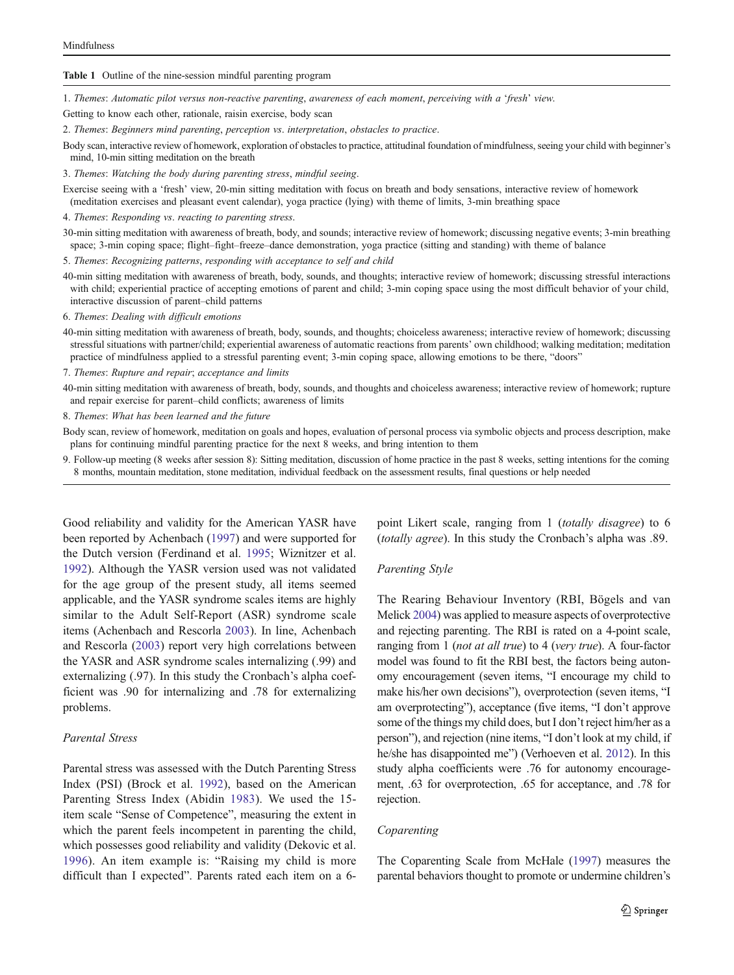## <span id="page-6-0"></span>Table 1 Outline of the nine-session mindful parenting program

1. Themes: Automatic pilot versus non-reactive parenting, awareness of each moment, perceiving with a 'fresh' view.

Getting to know each other, rationale, raisin exercise, body scan

2. Themes: Beginners mind parenting, perception vs. interpretation, obstacles to practice.

Body scan, interactive review of homework, exploration of obstacles to practice, attitudinal foundation of mindfulness, seeing your child with beginner's mind, 10-min sitting meditation on the breath

3. Themes: Watching the body during parenting stress, mindful seeing.

Exercise seeing with a 'fresh' view, 20-min sitting meditation with focus on breath and body sensations, interactive review of homework (meditation exercises and pleasant event calendar), yoga practice (lying) with theme of limits, 3-min breathing space

4. Themes: Responding vs. reacting to parenting stress.

30-min sitting meditation with awareness of breath, body, and sounds; interactive review of homework; discussing negative events; 3-min breathing space; 3-min coping space; flight–fight–freeze–dance demonstration, yoga practice (sitting and standing) with theme of balance

5. Themes: Recognizing patterns, responding with acceptance to self and child

40-min sitting meditation with awareness of breath, body, sounds, and thoughts; interactive review of homework; discussing stressful interactions with child; experiential practice of accepting emotions of parent and child; 3-min coping space using the most difficult behavior of your child, interactive discussion of parent–child patterns

6. Themes: Dealing with difficult emotions

40-min sitting meditation with awareness of breath, body, sounds, and thoughts; choiceless awareness; interactive review of homework; discussing stressful situations with partner/child; experiential awareness of automatic reactions from parents' own childhood; walking meditation; meditation practice of mindfulness applied to a stressful parenting event; 3-min coping space, allowing emotions to be there, "doors"

7. Themes: Rupture and repair; acceptance and limits

40-min sitting meditation with awareness of breath, body, sounds, and thoughts and choiceless awareness; interactive review of homework; rupture and repair exercise for parent–child conflicts; awareness of limits

#### 8. Themes: What has been learned and the future

Body scan, review of homework, meditation on goals and hopes, evaluation of personal process via symbolic objects and process description, make plans for continuing mindful parenting practice for the next 8 weeks, and bring intention to them

9. Follow-up meeting (8 weeks after session 8): Sitting meditation, discussion of home practice in the past 8 weeks, setting intentions for the coming 8 months, mountain meditation, stone meditation, individual feedback on the assessment results, final questions or help needed

Good reliability and validity for the American YASR have been reported by Achenbach [\(1997](#page-13-0)) and were supported for the Dutch version (Ferdinand et al. [1995;](#page-13-0) Wiznitzer et al. [1992\)](#page-15-0). Although the YASR version used was not validated for the age group of the present study, all items seemed applicable, and the YASR syndrome scales items are highly similar to the Adult Self-Report (ASR) syndrome scale items (Achenbach and Rescorla [2003\)](#page-13-0). In line, Achenbach and Rescorla [\(2003](#page-13-0)) report very high correlations between the YASR and ASR syndrome scales internalizing (.99) and externalizing (.97). In this study the Cronbach's alpha coefficient was .90 for internalizing and .78 for externalizing problems.

## Parental Stress

Parental stress was assessed with the Dutch Parenting Stress Index (PSI) (Brock et al. [1992](#page-13-0)), based on the American Parenting Stress Index (Abidin [1983](#page-13-0)). We used the 15 item scale "Sense of Competence", measuring the extent in which the parent feels incompetent in parenting the child, which possesses good reliability and validity (Dekovic et al. [1996](#page-13-0)). An item example is: "Raising my child is more difficult than I expected". Parents rated each item on a 6point Likert scale, ranging from 1 (totally disagree) to 6 (totally agree). In this study the Cronbach's alpha was .89.

#### Parenting Style

The Rearing Behaviour Inventory (RBI, Bögels and van Melick [2004\)](#page-13-0) was applied to measure aspects of overprotective and rejecting parenting. The RBI is rated on a 4-point scale, ranging from 1 (not at all true) to 4 (very true). A four-factor model was found to fit the RBI best, the factors being autonomy encouragement (seven items, "I encourage my child to make his/her own decisions"), overprotection (seven items, "I am overprotecting"), acceptance (five items, "I don't approve some of the things my child does, but I don't reject him/her as a person"), and rejection (nine items, "I don't look at my child, if he/she has disappointed me") (Verhoeven et al. [2012](#page-14-0)). In this study alpha coefficients were .76 for autonomy encouragement, .63 for overprotection, .65 for acceptance, and .78 for rejection.

#### Coparenting

The Coparenting Scale from McHale [\(1997\)](#page-14-0) measures the parental behaviors thought to promote or undermine children's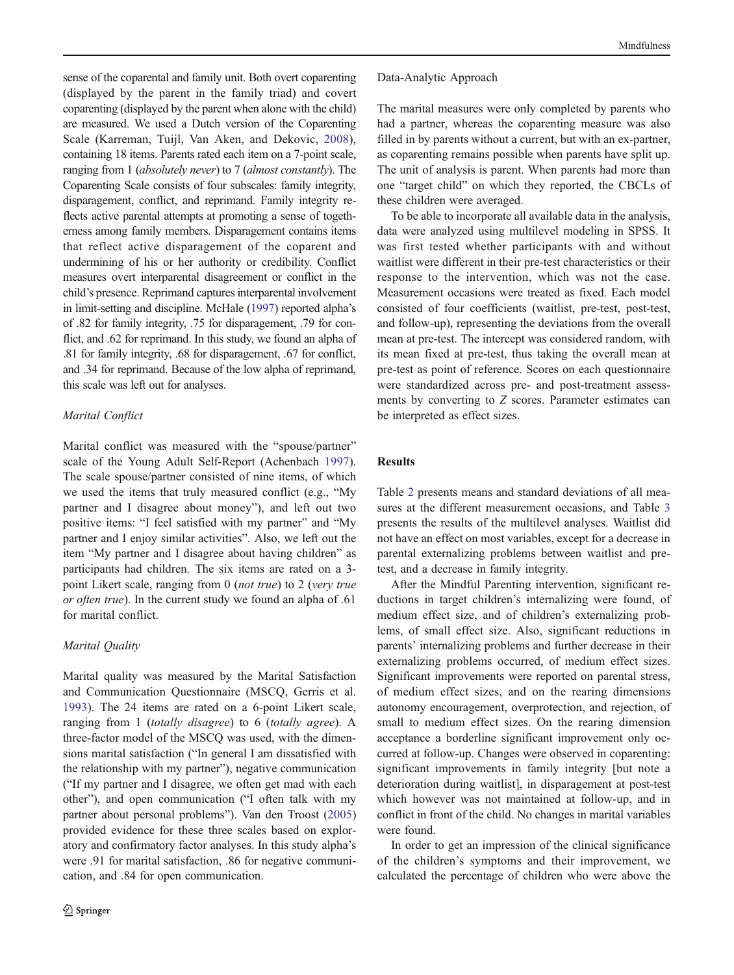sense of the coparental and family unit. Both overt coparenting (displayed by the parent in the family triad) and covert coparenting (displayed by the parent when alone with the child) are measured. We used a Dutch version of the Coparenting Scale (Karreman, Tuijl, Van Aken, and Dekovic, [2008](#page-14-0)), containing 18 items. Parents rated each item on a 7-point scale, ranging from 1 (absolutely never) to 7 (almost constantly). The Coparenting Scale consists of four subscales: family integrity, disparagement, conflict, and reprimand. Family integrity reflects active parental attempts at promoting a sense of togetherness among family members. Disparagement contains items that reflect active disparagement of the coparent and undermining of his or her authority or credibility. Conflict measures overt interparental disagreement or conflict in the child's presence. Reprimand captures interparental involvement in limit-setting and discipline. McHale [\(1997\)](#page-14-0) reported alpha's of .82 for family integrity, .75 for disparagement, .79 for conflict, and .62 for reprimand. In this study, we found an alpha of .81 for family integrity, .68 for disparagement, .67 for conflict, and .34 for reprimand. Because of the low alpha of reprimand, this scale was left out for analyses.

# Marital Conflict

Marital conflict was measured with the "spouse/partner" scale of the Young Adult Self-Report (Achenbach [1997](#page-13-0)). The scale spouse/partner consisted of nine items, of which we used the items that truly measured conflict (e.g., "My partner and I disagree about money"), and left out two positive items: "I feel satisfied with my partner" and "My partner and I enjoy similar activities". Also, we left out the item "My partner and I disagree about having children" as participants had children. The six items are rated on a 3 point Likert scale, ranging from 0 (not true) to 2 (very true or often true). In the current study we found an alpha of .61 for marital conflict.

# Marital Quality

Marital quality was measured by the Marital Satisfaction and Communication Questionnaire (MSCQ, Gerris et al. [1993\)](#page-14-0). The 24 items are rated on a 6-point Likert scale, ranging from 1 (totally disagree) to 6 (totally agree). A three-factor model of the MSCQ was used, with the dimensions marital satisfaction ("In general I am dissatisfied with the relationship with my partner"), negative communication ("If my partner and I disagree, we often get mad with each other"), and open communication ("I often talk with my partner about personal problems"). Van den Troost ([2005\)](#page-14-0) provided evidence for these three scales based on exploratory and confirmatory factor analyses. In this study alpha's were .91 for marital satisfaction, .86 for negative communication, and .84 for open communication.

# Data-Analytic Approach

The marital measures were only completed by parents who had a partner, whereas the coparenting measure was also filled in by parents without a current, but with an ex-partner, as coparenting remains possible when parents have split up. The unit of analysis is parent. When parents had more than one "target child" on which they reported, the CBCLs of these children were averaged.

To be able to incorporate all available data in the analysis, data were analyzed using multilevel modeling in SPSS. It was first tested whether participants with and without waitlist were different in their pre-test characteristics or their response to the intervention, which was not the case. Measurement occasions were treated as fixed. Each model consisted of four coefficients (waitlist, pre-test, post-test, and follow-up), representing the deviations from the overall mean at pre-test. The intercept was considered random, with its mean fixed at pre-test, thus taking the overall mean at pre-test as point of reference. Scores on each questionnaire were standardized across pre- and post-treatment assessments by converting to Z scores. Parameter estimates can be interpreted as effect sizes.

# Results

Table [2](#page-8-0) presents means and standard deviations of all measures at the different measurement occasions, and Table [3](#page-9-0) presents the results of the multilevel analyses. Waitlist did not have an effect on most variables, except for a decrease in parental externalizing problems between waitlist and pretest, and a decrease in family integrity.

After the Mindful Parenting intervention, significant reductions in target children's internalizing were found, of medium effect size, and of children's externalizing problems, of small effect size. Also, significant reductions in parents' internalizing problems and further decrease in their externalizing problems occurred, of medium effect sizes. Significant improvements were reported on parental stress, of medium effect sizes, and on the rearing dimensions autonomy encouragement, overprotection, and rejection, of small to medium effect sizes. On the rearing dimension acceptance a borderline significant improvement only occurred at follow-up. Changes were observed in coparenting: significant improvements in family integrity [but note a deterioration during waitlist], in disparagement at post-test which however was not maintained at follow-up, and in conflict in front of the child. No changes in marital variables were found.

In order to get an impression of the clinical significance of the children's symptoms and their improvement, we calculated the percentage of children who were above the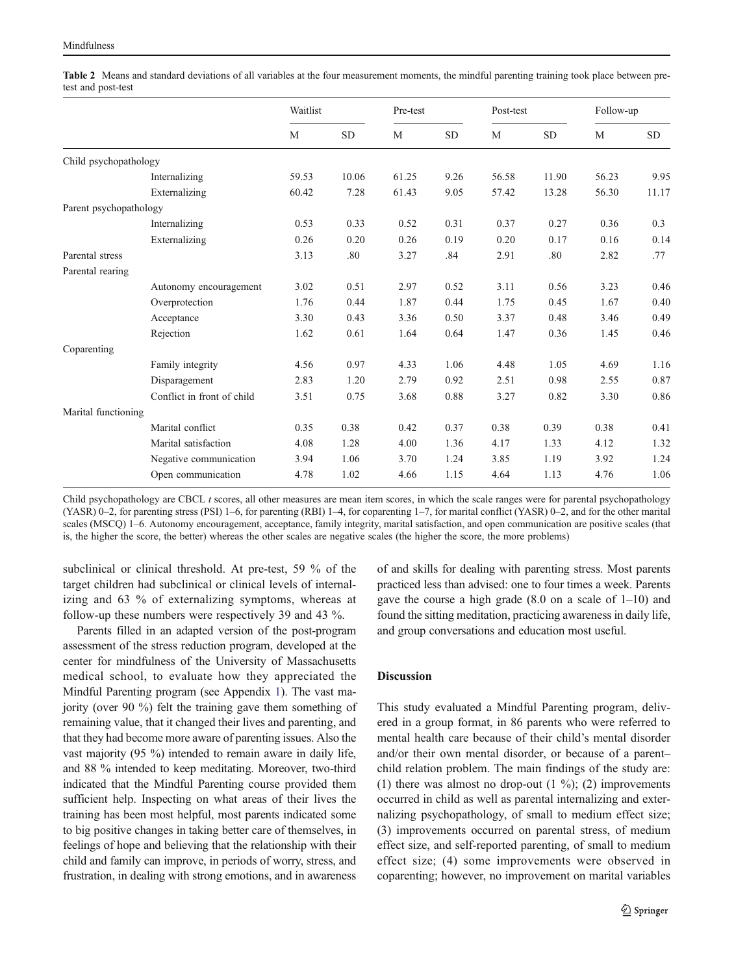<span id="page-8-0"></span>Table 2 Means and standard deviations of all variables at the four measurement moments, the mindful parenting training took place between pretest and post-test

|                        |                            | Waitlist |           | Pre-test |           |       | Post-test |       | Follow-up |  |
|------------------------|----------------------------|----------|-----------|----------|-----------|-------|-----------|-------|-----------|--|
|                        |                            | M        | <b>SD</b> | М        | <b>SD</b> | М     | <b>SD</b> | M     | <b>SD</b> |  |
| Child psychopathology  |                            |          |           |          |           |       |           |       |           |  |
|                        | Internalizing              | 59.53    | 10.06     | 61.25    | 9.26      | 56.58 | 11.90     | 56.23 | 9.95      |  |
|                        | Externalizing              | 60.42    | 7.28      | 61.43    | 9.05      | 57.42 | 13.28     | 56.30 | 11.17     |  |
| Parent psychopathology |                            |          |           |          |           |       |           |       |           |  |
|                        | Internalizing              | 0.53     | 0.33      | 0.52     | 0.31      | 0.37  | 0.27      | 0.36  | 0.3       |  |
|                        | Externalizing              | 0.26     | 0.20      | 0.26     | 0.19      | 0.20  | 0.17      | 0.16  | 0.14      |  |
| Parental stress        |                            | 3.13     | .80       | 3.27     | .84       | 2.91  | .80       | 2.82  | .77       |  |
| Parental rearing       |                            |          |           |          |           |       |           |       |           |  |
|                        | Autonomy encouragement     | 3.02     | 0.51      | 2.97     | 0.52      | 3.11  | 0.56      | 3.23  | 0.46      |  |
|                        | Overprotection             | 1.76     | 0.44      | 1.87     | 0.44      | 1.75  | 0.45      | 1.67  | 0.40      |  |
|                        | Acceptance                 | 3.30     | 0.43      | 3.36     | 0.50      | 3.37  | 0.48      | 3.46  | 0.49      |  |
|                        | Rejection                  | 1.62     | 0.61      | 1.64     | 0.64      | 1.47  | 0.36      | 1.45  | 0.46      |  |
| Coparenting            |                            |          |           |          |           |       |           |       |           |  |
|                        | Family integrity           | 4.56     | 0.97      | 4.33     | 1.06      | 4.48  | 1.05      | 4.69  | 1.16      |  |
|                        | Disparagement              | 2.83     | 1.20      | 2.79     | 0.92      | 2.51  | 0.98      | 2.55  | 0.87      |  |
|                        | Conflict in front of child | 3.51     | 0.75      | 3.68     | 0.88      | 3.27  | 0.82      | 3.30  | 0.86      |  |
| Marital functioning    |                            |          |           |          |           |       |           |       |           |  |
|                        | Marital conflict           | 0.35     | 0.38      | 0.42     | 0.37      | 0.38  | 0.39      | 0.38  | 0.41      |  |
|                        | Marital satisfaction       | 4.08     | 1.28      | 4.00     | 1.36      | 4.17  | 1.33      | 4.12  | 1.32      |  |
|                        | Negative communication     | 3.94     | 1.06      | 3.70     | 1.24      | 3.85  | 1.19      | 3.92  | 1.24      |  |
|                        | Open communication         | 4.78     | 1.02      | 4.66     | 1.15      | 4.64  | 1.13      | 4.76  | 1.06      |  |

Child psychopathology are CBCL t scores, all other measures are mean item scores, in which the scale ranges were for parental psychopathology (YASR) 0–2, for parenting stress (PSI) 1–6, for parenting (RBI) 1–4, for coparenting 1–7, for marital conflict (YASR) 0–2, and for the other marital scales (MSCQ) 1–6. Autonomy encouragement, acceptance, family integrity, marital satisfaction, and open communication are positive scales (that is, the higher the score, the better) whereas the other scales are negative scales (the higher the score, the more problems)

subclinical or clinical threshold. At pre-test, 59 % of the target children had subclinical or clinical levels of internalizing and 63 % of externalizing symptoms, whereas at follow-up these numbers were respectively 39 and 43 %.

Parents filled in an adapted version of the post-program assessment of the stress reduction program, developed at the center for mindfulness of the University of Massachusetts medical school, to evaluate how they appreciated the Mindful Parenting program (see Appendix [1\)](#page-0-0). The vast majority (over 90 %) felt the training gave them something of remaining value, that it changed their lives and parenting, and that they had become more aware of parenting issues. Also the vast majority (95 %) intended to remain aware in daily life, and 88 % intended to keep meditating. Moreover, two-third indicated that the Mindful Parenting course provided them sufficient help. Inspecting on what areas of their lives the training has been most helpful, most parents indicated some to big positive changes in taking better care of themselves, in feelings of hope and believing that the relationship with their child and family can improve, in periods of worry, stress, and frustration, in dealing with strong emotions, and in awareness of and skills for dealing with parenting stress. Most parents practiced less than advised: one to four times a week. Parents gave the course a high grade  $(8.0 \text{ on a scale of } 1-10)$  and found the sitting meditation, practicing awareness in daily life, and group conversations and education most useful.

# Discussion

This study evaluated a Mindful Parenting program, delivered in a group format, in 86 parents who were referred to mental health care because of their child's mental disorder and/or their own mental disorder, or because of a parent– child relation problem. The main findings of the study are: (1) there was almost no drop-out  $(1 \%)$ ;  $(2)$  improvements occurred in child as well as parental internalizing and externalizing psychopathology, of small to medium effect size; (3) improvements occurred on parental stress, of medium effect size, and self-reported parenting, of small to medium effect size; (4) some improvements were observed in coparenting; however, no improvement on marital variables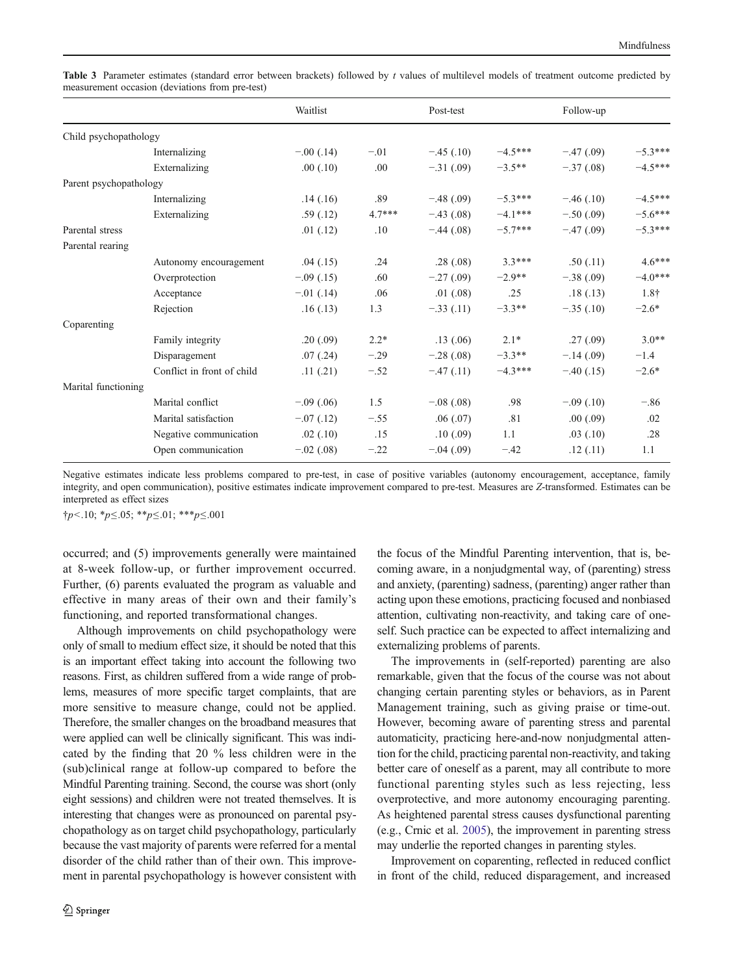|                        |                            | Waitlist     |          | Post-test   |           | Follow-up    |              |
|------------------------|----------------------------|--------------|----------|-------------|-----------|--------------|--------------|
| Child psychopathology  |                            |              |          |             |           |              |              |
|                        | Internalizing              | $-.00(.14)$  | $-.01$   | $-.45(.10)$ | $-4.5***$ | $-.47(.09)$  | $-5.3***$    |
|                        | Externalizing              | .00(0.10)    | .00      | $-.31(.09)$ | $-3.5**$  | $-.37(.08)$  | $-4.5***$    |
| Parent psychopathology |                            |              |          |             |           |              |              |
|                        | Internalizing              | .14(.16)     | .89      | $-.48(.09)$ | $-5.3***$ | $-.46(.10)$  | $-4.5***$    |
|                        | Externalizing              | .59(.12)     | $4.7***$ | $-.43(.08)$ | $-4.1***$ | $-.50(.09)$  | $-5.6***$    |
| Parental stress        |                            | .01(.12)     | .10      | $-.44(.08)$ | $-5.7***$ | $-.47(.09)$  | $-5.3***$    |
| Parental rearing       |                            |              |          |             |           |              |              |
|                        | Autonomy encouragement     | .04(0.15)    | .24      | .28(.08)    | $3.3***$  | .50(.11)     | $4.6***$     |
|                        | Overprotection             | $-.09$ (.15) | .60      | $-.27(.09)$ | $-2.9**$  | $-.38(.09)$  | $-4.0***$    |
|                        | Acceptance                 | $-.01$ (.14) | .06      | .01(0.08)   | .25       | .18(.13)     | $1.8\dagger$ |
|                        | Rejection                  | .16(0.13)    | 1.3      | $-.33(.11)$ | $-3.3**$  | $-.35(.10)$  | $-2.6*$      |
| Coparenting            |                            |              |          |             |           |              |              |
|                        | Family integrity           | .20(.09)     | $2.2*$   | .13(0.06)   | $2.1*$    | .27(.09)     | $3.0**$      |
|                        | Disparagement              | .07(0.24)    | $-.29$   | $-.28(.08)$ | $-3.3**$  | $-.14(.09)$  | $-1.4$       |
|                        | Conflict in front of child | .11(.21)     | $-.52$   | $-.47(.11)$ | $-4.3***$ | $-.40(.15)$  | $-2.6*$      |
| Marital functioning    |                            |              |          |             |           |              |              |
|                        | Marital conflict           | $-.09(.06)$  | 1.5      | $-.08(.08)$ | .98       | $-.09$ (.10) | $-.86$       |
|                        | Marital satisfaction       | $-.07(.12)$  | $-.55$   | .06(.07)    | .81       | .00(0.09)    | .02          |
|                        | Negative communication     | .02(.10)     | .15      | .10(0.09)   | 1.1       | .03(.10)     | .28          |
|                        | Open communication         | $-.02$ (.08) | $-.22$   | $-.04(.09)$ | $-.42$    | .12(.11)     | 1.1          |
|                        |                            |              |          |             |           |              |              |

<span id="page-9-0"></span>Table 3 Parameter estimates (standard error between brackets) followed by  $t$  values of multilevel models of treatment outcome predicted by measurement occasion (deviations from pre-test)

Negative estimates indicate less problems compared to pre-test, in case of positive variables (autonomy encouragement, acceptance, family integrity, and open communication), positive estimates indicate improvement compared to pre-test. Measures are Z-transformed. Estimates can be interpreted as effect sizes

†p<.10; \*p≤.05; \*\*p≤.01; \*\*\*p≤.001

occurred; and (5) improvements generally were maintained at 8-week follow-up, or further improvement occurred. Further, (6) parents evaluated the program as valuable and effective in many areas of their own and their family's functioning, and reported transformational changes.

Although improvements on child psychopathology were only of small to medium effect size, it should be noted that this is an important effect taking into account the following two reasons. First, as children suffered from a wide range of problems, measures of more specific target complaints, that are more sensitive to measure change, could not be applied. Therefore, the smaller changes on the broadband measures that were applied can well be clinically significant. This was indicated by the finding that 20 % less children were in the (sub)clinical range at follow-up compared to before the Mindful Parenting training. Second, the course was short (only eight sessions) and children were not treated themselves. It is interesting that changes were as pronounced on parental psychopathology as on target child psychopathology, particularly because the vast majority of parents were referred for a mental disorder of the child rather than of their own. This improvement in parental psychopathology is however consistent with the focus of the Mindful Parenting intervention, that is, becoming aware, in a nonjudgmental way, of (parenting) stress and anxiety, (parenting) sadness, (parenting) anger rather than acting upon these emotions, practicing focused and nonbiased attention, cultivating non-reactivity, and taking care of oneself. Such practice can be expected to affect internalizing and externalizing problems of parents.

The improvements in (self-reported) parenting are also remarkable, given that the focus of the course was not about changing certain parenting styles or behaviors, as in Parent Management training, such as giving praise or time-out. However, becoming aware of parenting stress and parental automaticity, practicing here-and-now nonjudgmental attention for the child, practicing parental non-reactivity, and taking better care of oneself as a parent, may all contribute to more functional parenting styles such as less rejecting, less overprotective, and more autonomy encouraging parenting. As heightened parental stress causes dysfunctional parenting (e.g., Crnic et al. [2005\)](#page-13-0), the improvement in parenting stress may underlie the reported changes in parenting styles.

Improvement on coparenting, reflected in reduced conflict in front of the child, reduced disparagement, and increased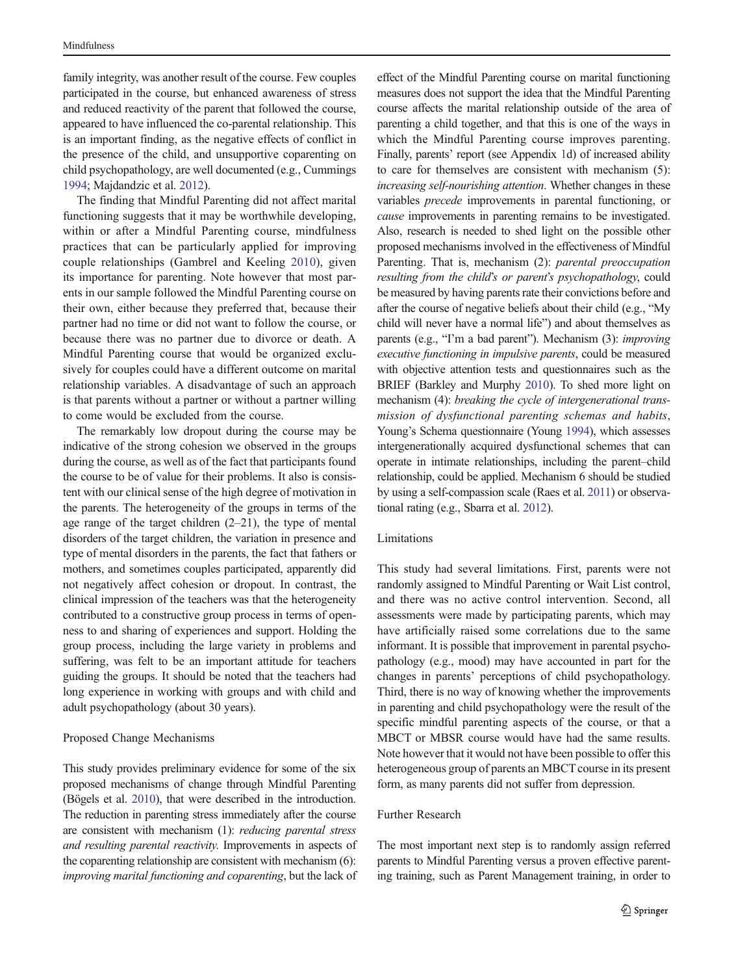family integrity, was another result of the course. Few couples participated in the course, but enhanced awareness of stress and reduced reactivity of the parent that followed the course, appeared to have influenced the co-parental relationship. This is an important finding, as the negative effects of conflict in the presence of the child, and unsupportive coparenting on child psychopathology, are well documented (e.g., Cummings [1994;](#page-13-0) Majdandzic et al. [2012](#page-14-0)).

The finding that Mindful Parenting did not affect marital functioning suggests that it may be worthwhile developing, within or after a Mindful Parenting course, mindfulness practices that can be particularly applied for improving couple relationships (Gambrel and Keeling [2010](#page-13-0)), given its importance for parenting. Note however that most parents in our sample followed the Mindful Parenting course on their own, either because they preferred that, because their partner had no time or did not want to follow the course, or because there was no partner due to divorce or death. A Mindful Parenting course that would be organized exclusively for couples could have a different outcome on marital relationship variables. A disadvantage of such an approach is that parents without a partner or without a partner willing to come would be excluded from the course.

The remarkably low dropout during the course may be indicative of the strong cohesion we observed in the groups during the course, as well as of the fact that participants found the course to be of value for their problems. It also is consistent with our clinical sense of the high degree of motivation in the parents. The heterogeneity of the groups in terms of the age range of the target children (2–21), the type of mental disorders of the target children, the variation in presence and type of mental disorders in the parents, the fact that fathers or mothers, and sometimes couples participated, apparently did not negatively affect cohesion or dropout. In contrast, the clinical impression of the teachers was that the heterogeneity contributed to a constructive group process in terms of openness to and sharing of experiences and support. Holding the group process, including the large variety in problems and suffering, was felt to be an important attitude for teachers guiding the groups. It should be noted that the teachers had long experience in working with groups and with child and adult psychopathology (about 30 years).

# Proposed Change Mechanisms

This study provides preliminary evidence for some of the six proposed mechanisms of change through Mindful Parenting (Bögels et al. [2010](#page-13-0)), that were described in the introduction. The reduction in parenting stress immediately after the course are consistent with mechanism (1): reducing parental stress and resulting parental reactivity. Improvements in aspects of the coparenting relationship are consistent with mechanism (6): improving marital functioning and coparenting, but the lack of

effect of the Mindful Parenting course on marital functioning measures does not support the idea that the Mindful Parenting course affects the marital relationship outside of the area of parenting a child together, and that this is one of the ways in which the Mindful Parenting course improves parenting. Finally, parents' report (see Appendix [1d](#page-0-0)) of increased ability to care for themselves are consistent with mechanism (5): increasing self-nourishing attention. Whether changes in these variables precede improvements in parental functioning, or cause improvements in parenting remains to be investigated. Also, research is needed to shed light on the possible other proposed mechanisms involved in the effectiveness of Mindful Parenting. That is, mechanism (2): parental preoccupation resulting from the child's or parent's psychopathology, could be measured by having parents rate their convictions before and after the course of negative beliefs about their child (e.g., "My child will never have a normal life") and about themselves as parents (e.g., "I'm a bad parent"). Mechanism (3): improving executive functioning in impulsive parents, could be measured with objective attention tests and questionnaires such as the BRIEF (Barkley and Murphy [2010\)](#page-13-0). To shed more light on mechanism (4): breaking the cycle of intergenerational transmission of dysfunctional parenting schemas and habits, Young's Schema questionnaire (Young [1994](#page-15-0)), which assesses intergenerationally acquired dysfunctional schemes that can operate in intimate relationships, including the parent–child relationship, could be applied. Mechanism 6 should be studied by using a self-compassion scale (Raes et al. [2011\)](#page-14-0) or observational rating (e.g., Sbarra et al. [2012\)](#page-14-0).

# Limitations

This study had several limitations. First, parents were not randomly assigned to Mindful Parenting or Wait List control, and there was no active control intervention. Second, all assessments were made by participating parents, which may have artificially raised some correlations due to the same informant. It is possible that improvement in parental psychopathology (e.g., mood) may have accounted in part for the changes in parents' perceptions of child psychopathology. Third, there is no way of knowing whether the improvements in parenting and child psychopathology were the result of the specific mindful parenting aspects of the course, or that a MBCT or MBSR course would have had the same results. Note however that it would not have been possible to offer this heterogeneous group of parents an MBCT course in its present form, as many parents did not suffer from depression.

# Further Research

The most important next step is to randomly assign referred parents to Mindful Parenting versus a proven effective parenting training, such as Parent Management training, in order to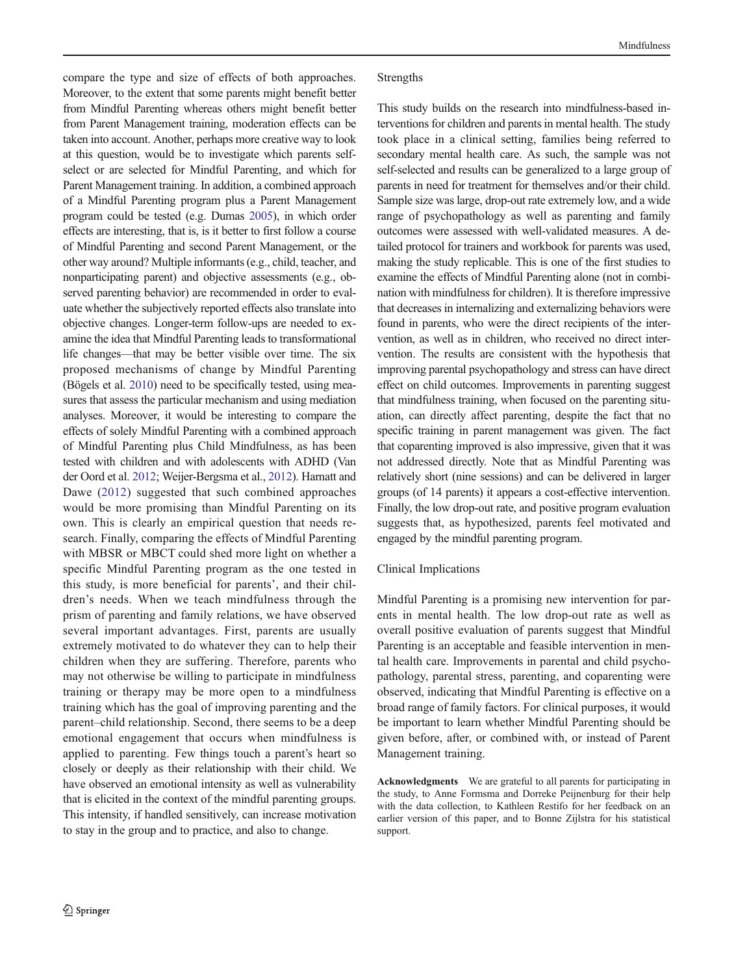compare the type and size of effects of both approaches. Moreover, to the extent that some parents might benefit better from Mindful Parenting whereas others might benefit better from Parent Management training, moderation effects can be taken into account. Another, perhaps more creative way to look at this question, would be to investigate which parents selfselect or are selected for Mindful Parenting, and which for Parent Management training. In addition, a combined approach of a Mindful Parenting program plus a Parent Management program could be tested (e.g. Dumas [2005](#page-13-0)), in which order effects are interesting, that is, is it better to first follow a course of Mindful Parenting and second Parent Management, or the other way around? Multiple informants (e.g., child, teacher, and nonparticipating parent) and objective assessments (e.g., observed parenting behavior) are recommended in order to evaluate whether the subjectively reported effects also translate into objective changes. Longer-term follow-ups are needed to examine the idea that Mindful Parenting leads to transformational life changes—that may be better visible over time. The six proposed mechanisms of change by Mindful Parenting (Bögels et al. [2010](#page-13-0)) need to be specifically tested, using measures that assess the particular mechanism and using mediation analyses. Moreover, it would be interesting to compare the effects of solely Mindful Parenting with a combined approach of Mindful Parenting plus Child Mindfulness, as has been tested with children and with adolescents with ADHD (Van der Oord et al. [2012;](#page-14-0) Weijer-Bergsma et al., [2012](#page-15-0)). Harnatt and Dawe [\(2012](#page-14-0)) suggested that such combined approaches would be more promising than Mindful Parenting on its own. This is clearly an empirical question that needs research. Finally, comparing the effects of Mindful Parenting with MBSR or MBCT could shed more light on whether a specific Mindful Parenting program as the one tested in this study, is more beneficial for parents', and their children's needs. When we teach mindfulness through the prism of parenting and family relations, we have observed several important advantages. First, parents are usually extremely motivated to do whatever they can to help their children when they are suffering. Therefore, parents who may not otherwise be willing to participate in mindfulness training or therapy may be more open to a mindfulness training which has the goal of improving parenting and the parent–child relationship. Second, there seems to be a deep emotional engagement that occurs when mindfulness is applied to parenting. Few things touch a parent's heart so closely or deeply as their relationship with their child. We have observed an emotional intensity as well as vulnerability that is elicited in the context of the mindful parenting groups. This intensity, if handled sensitively, can increase motivation to stay in the group and to practice, and also to change.

# Strengths

This study builds on the research into mindfulness-based interventions for children and parents in mental health. The study took place in a clinical setting, families being referred to secondary mental health care. As such, the sample was not self-selected and results can be generalized to a large group of parents in need for treatment for themselves and/or their child. Sample size was large, drop-out rate extremely low, and a wide range of psychopathology as well as parenting and family outcomes were assessed with well-validated measures. A detailed protocol for trainers and workbook for parents was used, making the study replicable. This is one of the first studies to examine the effects of Mindful Parenting alone (not in combination with mindfulness for children). It is therefore impressive that decreases in internalizing and externalizing behaviors were found in parents, who were the direct recipients of the intervention, as well as in children, who received no direct intervention. The results are consistent with the hypothesis that improving parental psychopathology and stress can have direct effect on child outcomes. Improvements in parenting suggest that mindfulness training, when focused on the parenting situation, can directly affect parenting, despite the fact that no specific training in parent management was given. The fact that coparenting improved is also impressive, given that it was not addressed directly. Note that as Mindful Parenting was relatively short (nine sessions) and can be delivered in larger groups (of 14 parents) it appears a cost-effective intervention. Finally, the low drop-out rate, and positive program evaluation suggests that, as hypothesized, parents feel motivated and engaged by the mindful parenting program.

# Clinical Implications

Mindful Parenting is a promising new intervention for parents in mental health. The low drop-out rate as well as overall positive evaluation of parents suggest that Mindful Parenting is an acceptable and feasible intervention in mental health care. Improvements in parental and child psychopathology, parental stress, parenting, and coparenting were observed, indicating that Mindful Parenting is effective on a broad range of family factors. For clinical purposes, it would be important to learn whether Mindful Parenting should be given before, after, or combined with, or instead of Parent Management training.

Acknowledgments We are grateful to all parents for participating in the study, to Anne Formsma and Dorreke Peijnenburg for their help with the data collection, to Kathleen Restifo for her feedback on an earlier version of this paper, and to Bonne Zijlstra for his statistical support.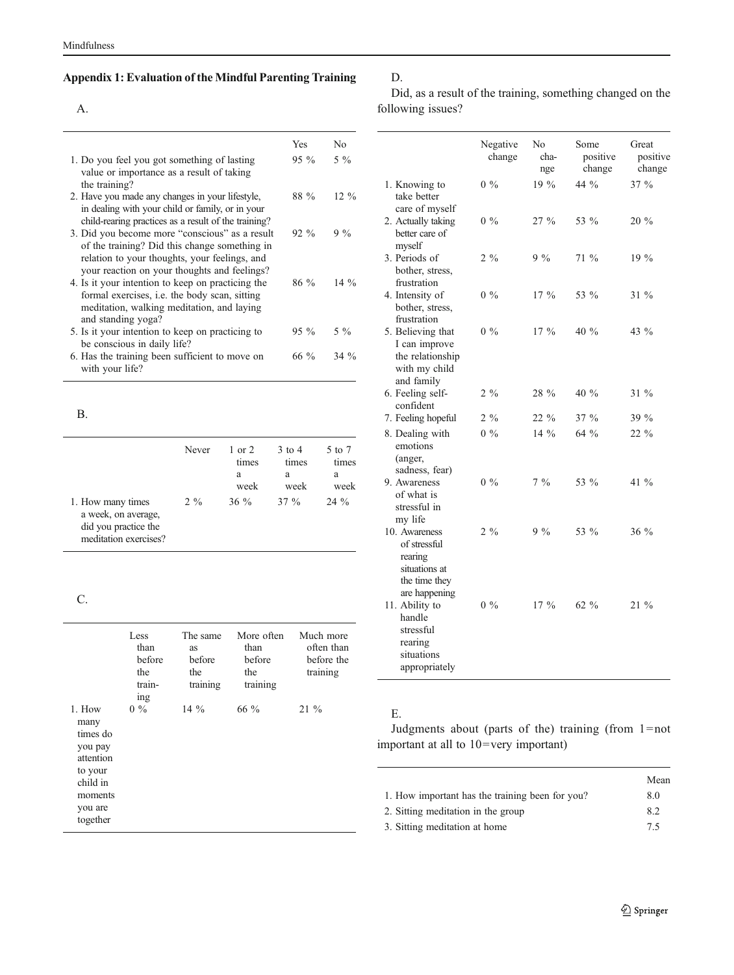# Appendix 1: Evaluation of the Mindful Parenting Training

A.

 $\overline{a}$ 

|                                                                                                                                                                                                  | Yes.   | No.    |
|--------------------------------------------------------------------------------------------------------------------------------------------------------------------------------------------------|--------|--------|
| 1. Do you feel you got something of lasting<br>value or importance as a result of taking<br>the training?                                                                                        | $95\%$ | $5\%$  |
| 2. Have you made any changes in your lifestyle,<br>in dealing with your child or family, or in your<br>child-rearing practices as a result of the training?                                      | 88 %   | $12\%$ |
| 3. Did you become more "conscious" as a result<br>of the training? Did this change something in<br>relation to your thoughts, your feelings, and<br>your reaction on your thoughts and feelings? | $92\%$ | $9\%$  |
| 4. Is it your intention to keep on practicing the<br>formal exercises, <i>i.e.</i> the body scan, sitting<br>meditation, walking meditation, and laying<br>and standing yoga?                    | $86\%$ | 14 $%$ |
| 5. Is it your intention to keep on practicing to<br>be conscious in daily life?                                                                                                                  | $95\%$ | $5\%$  |
| 6. Has the training been sufficient to move on<br>with your life?                                                                                                                                | $66\%$ | $34\%$ |

B.

L

|                                                                                           | Never | $1$ or $2$<br>times<br>a<br>week | $3$ to $4$<br>times<br>a<br>week | 5 to 7<br>times<br>a<br>week |
|-------------------------------------------------------------------------------------------|-------|----------------------------------|----------------------------------|------------------------------|
| 1. How many times<br>a week, on average,<br>did you practice the<br>meditation exercises? | $2\%$ | $36\%$                           | $37\%$                           | $24\%$                       |

C.

|                                                                                                             | Less<br>than<br>before<br>the<br>train-<br>ing | The same<br><b>as</b><br>before<br>the<br>training | More often<br>than<br>before<br>the<br>training | Much more<br>often than<br>before the<br>training |
|-------------------------------------------------------------------------------------------------------------|------------------------------------------------|----------------------------------------------------|-------------------------------------------------|---------------------------------------------------|
| 1. How<br>many<br>times do<br>you pay<br>attention<br>to your<br>child in<br>moments<br>you are<br>together | $0\%$                                          | $14\%$                                             | 66 %                                            | $21\%$                                            |

# D.

Did, as a result of the training, something changed on the following issues?

|                                                                                             | Negative<br>change | No<br>cha-<br>nge | Some<br>positive<br>change | Great<br>positive<br>change |
|---------------------------------------------------------------------------------------------|--------------------|-------------------|----------------------------|-----------------------------|
| 1. Knowing to<br>take better<br>care of myself                                              | $0\%$              | $19\%$            | 44 %                       | 37 %                        |
| 2. Actually taking<br>better care of<br>myself                                              | $0\%$              | $27\%$            | 53 %                       | $20\%$                      |
| 3. Periods of<br>bother, stress,<br>frustration                                             | $2\frac{0}{6}$     | $9\%$             | $71\%$                     | $19\%$                      |
| 4. Intensity of<br>bother, stress,<br>frustration                                           | $0\%$              | $17\%$            | 53 %                       | $31\%$                      |
| 5. Believing that<br>I can improve<br>the relationship<br>with my child<br>and family       | $0\%$              | $17\%$            | 40 $\%$                    | 43 $\%$                     |
| 6. Feeling self-<br>confident                                                               | $2\frac{9}{6}$     | 28 %              | $40\%$                     | $31\%$                      |
| 7. Feeling hopeful                                                                          | $2\%$              | $22\%$            | $37 \%$                    | $39\%$                      |
| 8. Dealing with<br>emotions<br>(anger,<br>sadness, fear)                                    | $0\%$              | $14\%$            | 64 %                       | $22\%$                      |
| 9. Awareness<br>of what is<br>stressful in<br>my life                                       | $0\%$              | $7\%$             | 53 %                       | 41 $\%$                     |
| 10. Awareness<br>of stressful<br>rearing<br>situations at<br>the time they<br>are happening | $2\%$              | $9\%$             | 53 %                       | $36\%$                      |
| 11. Ability to<br>handle<br>stressful<br>rearing<br>situations<br>appropriately             | $0\%$              | $17\%$            | 62 %                       | $21\%$                      |

# E.

Judgments about (parts of the) training (from 1=not important at all to 10=very important)

|                                                 | Mean |
|-------------------------------------------------|------|
| 1. How important has the training been for you? | 8.0  |
| 2. Sitting meditation in the group              | 82   |
| 3. Sitting meditation at home                   | 7.5  |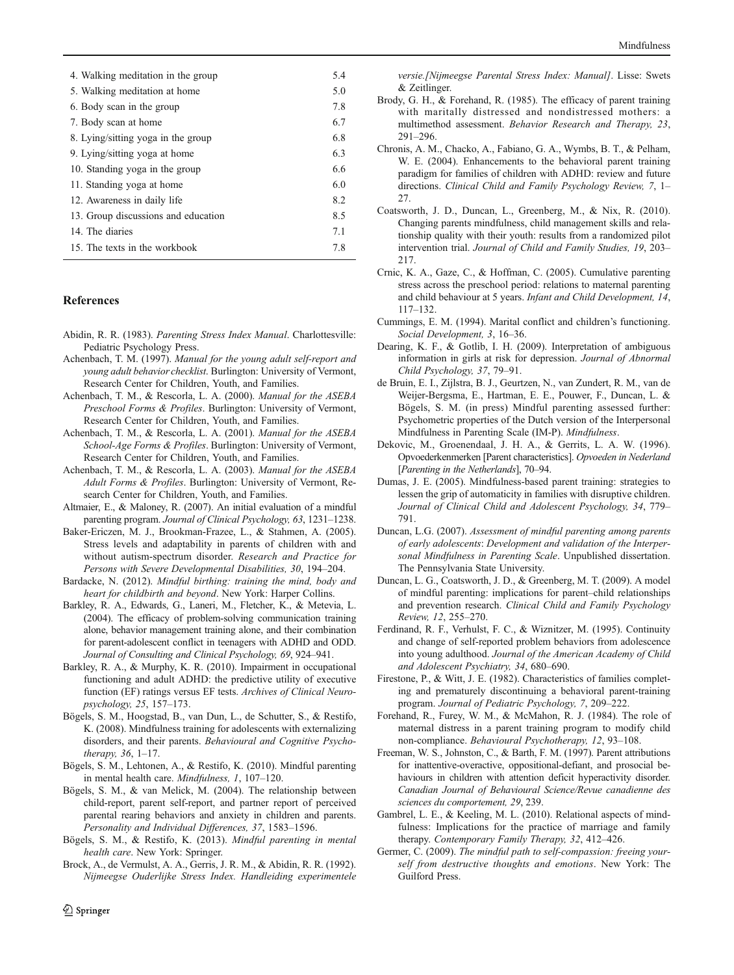<span id="page-13-0"></span>

| 4. Walking meditation in the group  | 5.4 |
|-------------------------------------|-----|
| 5. Walking meditation at home       | 5.0 |
| 6. Body scan in the group           | 7.8 |
| 7. Body scan at home                | 6.7 |
| 8. Lying/sitting yoga in the group  | 6.8 |
| 9. Lying/sitting yoga at home       | 6.3 |
| 10. Standing yoga in the group      | 6.6 |
| 11. Standing yoga at home           | 6.0 |
| 12. Awareness in daily life         | 8.2 |
| 13. Group discussions and education | 8.5 |
| 14. The diaries                     | 7.1 |
| 15. The texts in the workbook       | 7.8 |

# References

- Abidin, R. R. (1983). Parenting Stress Index Manual. Charlottesville: Pediatric Psychology Press.
- Achenbach, T. M. (1997). Manual for the young adult self-report and young adult behavior checklist. Burlington: University of Vermont, Research Center for Children, Youth, and Families.
- Achenbach, T. M., & Rescorla, L. A. (2000). Manual for the ASEBA Preschool Forms & Profiles. Burlington: University of Vermont, Research Center for Children, Youth, and Families.
- Achenbach, T. M., & Rescorla, L. A. (2001). Manual for the ASEBA School-Age Forms & Profiles. Burlington: University of Vermont, Research Center for Children, Youth, and Families.
- Achenbach, T. M., & Rescorla, L. A. (2003). Manual for the ASEBA Adult Forms & Profiles. Burlington: University of Vermont, Research Center for Children, Youth, and Families.
- Altmaier, E., & Maloney, R. (2007). An initial evaluation of a mindful parenting program. Journal of Clinical Psychology, 63, 1231–1238.
- Baker-Ericzen, M. J., Brookman-Frazee, L., & Stahmen, A. (2005). Stress levels and adaptability in parents of children with and without autism-spectrum disorder. Research and Practice for Persons with Severe Developmental Disabilities, 30, 194–204.
- Bardacke, N. (2012). Mindful birthing: training the mind, body and heart for childbirth and beyond. New York: Harper Collins.
- Barkley, R. A., Edwards, G., Laneri, M., Fletcher, K., & Metevia, L. (2004). The efficacy of problem-solving communication training alone, behavior management training alone, and their combination for parent-adolescent conflict in teenagers with ADHD and ODD. Journal of Consulting and Clinical Psychology, 69, 924–941.
- Barkley, R. A., & Murphy, K. R. (2010). Impairment in occupational functioning and adult ADHD: the predictive utility of executive function (EF) ratings versus EF tests. Archives of Clinical Neuropsychology, 25, 157–173.
- Bögels, S. M., Hoogstad, B., van Dun, L., de Schutter, S., & Restifo, K. (2008). Mindfulness training for adolescents with externalizing disorders, and their parents. Behavioural and Cognitive Psychotherapy, 36, 1–17.
- Bögels, S. M., Lehtonen, A., & Restifo, K. (2010). Mindful parenting in mental health care. Mindfulness, 1, 107–120.
- Bögels, S. M., & van Melick, M. (2004). The relationship between child-report, parent self-report, and partner report of perceived parental rearing behaviors and anxiety in children and parents. Personality and Individual Differences, 37, 1583–1596.
- Bögels, S. M., & Restifo, K. (2013). Mindful parenting in mental health care. New York: Springer.
- Brock, A., de Vermulst, A. A., Gerris, J. R. M., & Abidin, R. R. (1992). Nijmeegse Ouderlijke Stress Index. Handleiding experimentele

versie.[Nijmeegse Parental Stress Index: Manual]. Lisse: Swets & Zeitlinger.

- Brody, G. H., & Forehand, R. (1985). The efficacy of parent training with maritally distressed and nondistressed mothers: a multimethod assessment. Behavior Research and Therapy, 23, 291–296.
- Chronis, A. M., Chacko, A., Fabiano, G. A., Wymbs, B. T., & Pelham, W. E. (2004). Enhancements to the behavioral parent training paradigm for families of children with ADHD: review and future directions. Clinical Child and Family Psychology Review, 7, 1– 27.
- Coatsworth, J. D., Duncan, L., Greenberg, M., & Nix, R. (2010). Changing parents mindfulness, child management skills and relationship quality with their youth: results from a randomized pilot intervention trial. Journal of Child and Family Studies, 19, 203– 217.
- Crnic, K. A., Gaze, C., & Hoffman, C. (2005). Cumulative parenting stress across the preschool period: relations to maternal parenting and child behaviour at 5 years. Infant and Child Development, 14, 117–132.
- Cummings, E. M. (1994). Marital conflict and children's functioning. Social Development, 3, 16–36.
- Dearing, K. F., & Gotlib, I. H. (2009). Interpretation of ambiguous information in girls at risk for depression. Journal of Abnormal Child Psychology, 37, 79–91.
- de Bruin, E. I., Zijlstra, B. J., Geurtzen, N., van Zundert, R. M., van de Weijer-Bergsma, E., Hartman, E. E., Pouwer, F., Duncan, L. & Bögels, S. M. (in press) Mindful parenting assessed further: Psychometric properties of the Dutch version of the Interpersonal Mindfulness in Parenting Scale (IM-P). Mindfulness.
- Dekovic, M., Groenendaal, J. H. A., & Gerrits, L. A. W. (1996). Opvoederkenmerken [Parent characteristics]. Opvoeden in Nederland [Parenting in the Netherlands], 70–94.
- Dumas, J. E. (2005). Mindfulness-based parent training: strategies to lessen the grip of automaticity in families with disruptive children. Journal of Clinical Child and Adolescent Psychology, 34, 779– 791.
- Duncan, L.G. (2007). Assessment of mindful parenting among parents of early adolescents: Development and validation of the Interpersonal Mindfulness in Parenting Scale. Unpublished dissertation. The Pennsylvania State University.
- Duncan, L. G., Coatsworth, J. D., & Greenberg, M. T. (2009). A model of mindful parenting: implications for parent–child relationships and prevention research. Clinical Child and Family Psychology Review, 12, 255–270.
- Ferdinand, R. F., Verhulst, F. C., & Wiznitzer, M. (1995). Continuity and change of self-reported problem behaviors from adolescence into young adulthood. Journal of the American Academy of Child and Adolescent Psychiatry, 34, 680–690.
- Firestone, P., & Witt, J. E. (1982). Characteristics of families completing and prematurely discontinuing a behavioral parent-training program. Journal of Pediatric Psychology, 7, 209–222.
- Forehand, R., Furey, W. M., & McMahon, R. J. (1984). The role of maternal distress in a parent training program to modify child non-compliance. Behavioural Psychotherapy, 12, 93–108.
- Freeman, W. S., Johnston, C., & Barth, F. M. (1997). Parent attributions for inattentive-overactive, oppositional-defiant, and prosocial behaviours in children with attention deficit hyperactivity disorder. Canadian Journal of Behavioural Science/Revue canadienne des sciences du comportement, 29, 239.
- Gambrel, L. E., & Keeling, M. L. (2010). Relational aspects of mindfulness: Implications for the practice of marriage and family therapy. Contemporary Family Therapy, 32, 412–426.
- Germer, C. (2009). The mindful path to self-compassion: freeing yourself from destructive thoughts and emotions. New York: The Guilford Press.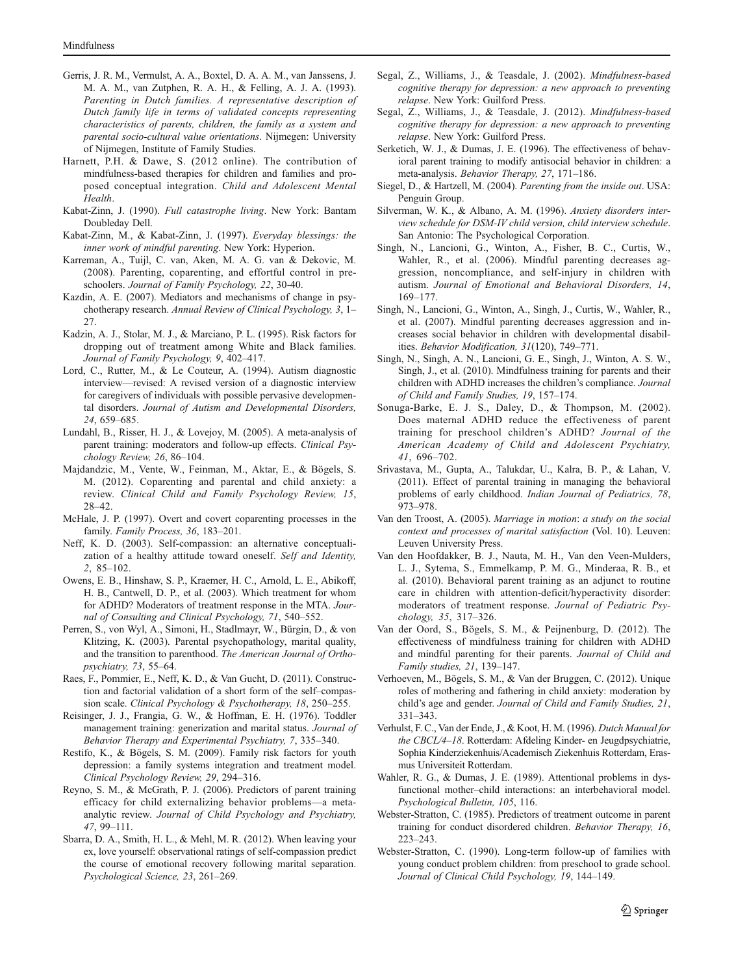- <span id="page-14-0"></span>Gerris, J. R. M., Vermulst, A. A., Boxtel, D. A. A. M., van Janssens, J. M. A. M., van Zutphen, R. A. H., & Felling, A. J. A. (1993). Parenting in Dutch families. A representative description of Dutch family life in terms of validated concepts representing characteristics of parents, children, the family as a system and parental socio-cultural value orientations. Nijmegen: University of Nijmegen, Institute of Family Studies.
- Harnett, P.H. & Dawe, S. (2012 online). The contribution of mindfulness-based therapies for children and families and proposed conceptual integration. Child and Adolescent Mental Health.
- Kabat-Zinn, J. (1990). Full catastrophe living. New York: Bantam Doubleday Dell.
- Kabat-Zinn, M., & Kabat-Zinn, J. (1997). Everyday blessings: the inner work of mindful parenting. New York: Hyperion.
- Karreman, A., Tuijl, C. van, Aken, M. A. G. van & Dekovic, M. (2008). Parenting, coparenting, and effortful control in preschoolers. Journal of Family Psychology, 22, 30-40.
- Kazdin, A. E. (2007). Mediators and mechanisms of change in psychotherapy research. Annual Review of Clinical Psychology, 3, 1– 27.
- Kadzin, A. J., Stolar, M. J., & Marciano, P. L. (1995). Risk factors for dropping out of treatment among White and Black families. Journal of Family Psychology, 9, 402–417.
- Lord, C., Rutter, M., & Le Couteur, A. (1994). Autism diagnostic interview—revised: A revised version of a diagnostic interview for caregivers of individuals with possible pervasive developmental disorders. Journal of Autism and Developmental Disorders, 24, 659–685.
- Lundahl, B., Risser, H. J., & Lovejoy, M. (2005). A meta-analysis of parent training: moderators and follow-up effects. Clinical Psychology Review, 26, 86–104.
- Majdandzic, M., Vente, W., Feinman, M., Aktar, E., & Bögels, S. M. (2012). Coparenting and parental and child anxiety: a review. Clinical Child and Family Psychology Review, 15, 28–42.
- McHale, J. P. (1997). Overt and covert coparenting processes in the family. Family Process, 36, 183–201.
- Neff, K. D. (2003). Self-compassion: an alternative conceptualization of a healthy attitude toward oneself. Self and Identity, 2, 85–102.
- Owens, E. B., Hinshaw, S. P., Kraemer, H. C., Arnold, L. E., Abikoff, H. B., Cantwell, D. P., et al. (2003). Which treatment for whom for ADHD? Moderators of treatment response in the MTA. Journal of Consulting and Clinical Psychology, 71, 540–552.
- Perren, S., von Wyl, A., Simoni, H., Stadlmayr, W., Bürgin, D., & von Klitzing, K. (2003). Parental psychopathology, marital quality, and the transition to parenthood. The American Journal of Orthopsychiatry, 73, 55–64.
- Raes, F., Pommier, E., Neff, K. D., & Van Gucht, D. (2011). Construction and factorial validation of a short form of the self–compassion scale. Clinical Psychology & Psychotherapy, 18, 250–255.
- Reisinger, J. J., Frangia, G. W., & Hoffman, E. H. (1976). Toddler management training: generization and marital status. Journal of Behavior Therapy and Experimental Psychiatry, 7, 335–340.
- Restifo, K., & Bögels, S. M. (2009). Family risk factors for youth depression: a family systems integration and treatment model. Clinical Psychology Review, 29, 294–316.
- Reyno, S. M., & McGrath, P. J. (2006). Predictors of parent training efficacy for child externalizing behavior problems—a metaanalytic review. Journal of Child Psychology and Psychiatry, 47, 99–111.
- Sbarra, D. A., Smith, H. L., & Mehl, M. R. (2012). When leaving your ex, love yourself: observational ratings of self-compassion predict the course of emotional recovery following marital separation. Psychological Science, 23, 261–269.
- Segal, Z., Williams, J., & Teasdale, J. (2002). Mindfulness-based cognitive therapy for depression: a new approach to preventing relapse. New York: Guilford Press.
- Segal, Z., Williams, J., & Teasdale, J. (2012). Mindfulness-based cognitive therapy for depression: a new approach to preventing relapse. New York: Guilford Press.
- Serketich, W. J., & Dumas, J. E. (1996). The effectiveness of behavioral parent training to modify antisocial behavior in children: a meta-analysis. Behavior Therapy, 27, 171–186.
- Siegel, D., & Hartzell, M. (2004). Parenting from the inside out. USA: Penguin Group.
- Silverman, W. K., & Albano, A. M. (1996). Anxiety disorders interview schedule for DSM-IV child version, child interview schedule. San Antonio: The Psychological Corporation.
- Singh, N., Lancioni, G., Winton, A., Fisher, B. C., Curtis, W., Wahler, R., et al. (2006). Mindful parenting decreases aggression, noncompliance, and self-injury in children with autism. Journal of Emotional and Behavioral Disorders, 14, 169–177.
- Singh, N., Lancioni, G., Winton, A., Singh, J., Curtis, W., Wahler, R., et al. (2007). Mindful parenting decreases aggression and increases social behavior in children with developmental disabilities. Behavior Modification, 31(120), 749–771.
- Singh, N., Singh, A. N., Lancioni, G. E., Singh, J., Winton, A. S. W., Singh, J., et al. (2010). Mindfulness training for parents and their children with ADHD increases the children's compliance. Journal of Child and Family Studies, 19, 157–174.
- Sonuga-Barke, E. J. S., Daley, D., & Thompson, M. (2002). Does maternal ADHD reduce the effectiveness of parent training for preschool children's ADHD? Journal of the American Academy of Child and Adolescent Psychiatry, 41, 696–702.
- Srivastava, M., Gupta, A., Talukdar, U., Kalra, B. P., & Lahan, V. (2011). Effect of parental training in managing the behavioral problems of early childhood. Indian Journal of Pediatrics, 78, 973–978.
- Van den Troost, A. (2005). Marriage in motion: a study on the social context and processes of marital satisfaction (Vol. 10). Leuven: Leuven University Press.
- Van den Hoofdakker, B. J., Nauta, M. H., Van den Veen-Mulders, L. J., Sytema, S., Emmelkamp, P. M. G., Minderaa, R. B., et al. (2010). Behavioral parent training as an adjunct to routine care in children with attention-deficit/hyperactivity disorder: moderators of treatment response. Journal of Pediatric Psychology, 35, 317–326.
- Van der Oord, S., Bögels, S. M., & Peijnenburg, D. (2012). The effectiveness of mindfulness training for children with ADHD and mindful parenting for their parents. Journal of Child and Family studies, 21, 139–147.
- Verhoeven, M., Bögels, S. M., & Van der Bruggen, C. (2012). Unique roles of mothering and fathering in child anxiety: moderation by child's age and gender. Journal of Child and Family Studies, 21, 331–343.
- Verhulst, F. C., Van der Ende, J., & Koot, H. M. (1996). Dutch Manual for the CBCL/4–18. Rotterdam: Afdeling Kinder- en Jeugdpsychiatrie, Sophia Kinderziekenhuis/Academisch Ziekenhuis Rotterdam, Erasmus Universiteit Rotterdam.
- Wahler, R. G., & Dumas, J. E. (1989). Attentional problems in dysfunctional mother–child interactions: an interbehavioral model. Psychological Bulletin, 105, 116.
- Webster-Stratton, C. (1985). Predictors of treatment outcome in parent training for conduct disordered children. Behavior Therapy, 16, 223–243.
- Webster-Stratton, C. (1990). Long-term follow-up of families with young conduct problem children: from preschool to grade school. Journal of Clinical Child Psychology, 19, 144–149.